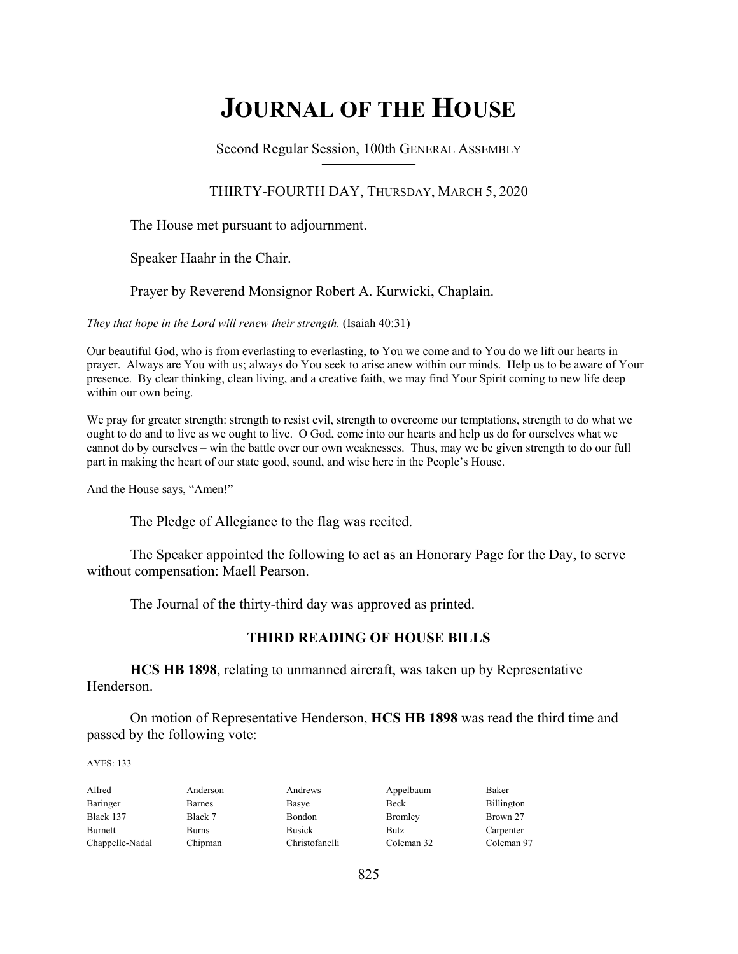# **JOURNAL OF THE HOUSE**

Second Regular Session, 100th GENERAL ASSEMBLY **\_\_\_\_\_\_\_\_\_\_\_\_\_\_\_\_\_\_\_\_\_\_\_\_\_\_**

## THIRTY-FOURTH DAY, THURSDAY, MARCH 5, 2020

The House met pursuant to adjournment.

Speaker Haahr in the Chair.

Prayer by Reverend Monsignor Robert A. Kurwicki, Chaplain.

*They that hope in the Lord will renew their strength.* (Isaiah 40:31)

Our beautiful God, who is from everlasting to everlasting, to You we come and to You do we lift our hearts in prayer. Always are You with us; always do You seek to arise anew within our minds. Help us to be aware of Your presence. By clear thinking, clean living, and a creative faith, we may find Your Spirit coming to new life deep within our own being.

We pray for greater strength: strength to resist evil, strength to overcome our temptations, strength to do what we ought to do and to live as we ought to live. O God, come into our hearts and help us do for ourselves what we cannot do by ourselves – win the battle over our own weaknesses. Thus, may we be given strength to do our full part in making the heart of our state good, sound, and wise here in the People's House.

And the House says, "Amen!"

The Pledge of Allegiance to the flag was recited.

 The Speaker appointed the following to act as an Honorary Page for the Day, to serve without compensation: Maell Pearson.

The Journal of the thirty-third day was approved as printed.

## **THIRD READING OF HOUSE BILLS**

**HCS HB 1898**, relating to unmanned aircraft, was taken up by Representative Henderson.

 On motion of Representative Henderson, **HCS HB 1898** was read the third time and passed by the following vote:

AYES: 133

| Allred          | Anderson     | Andrews        | Appelbaum   | Baker      |
|-----------------|--------------|----------------|-------------|------------|
| Baringer        | Barnes       | Basye          | <b>Beck</b> | Billington |
| Black 137       | Black 7      | Bondon         | Bromley     | Brown 27   |
| Burnett         | <b>Burns</b> | <b>Busick</b>  | <b>Butz</b> | Carpenter  |
| Chappelle-Nadal | Chipman      | Christofanelli | Coleman 32  | Coleman 97 |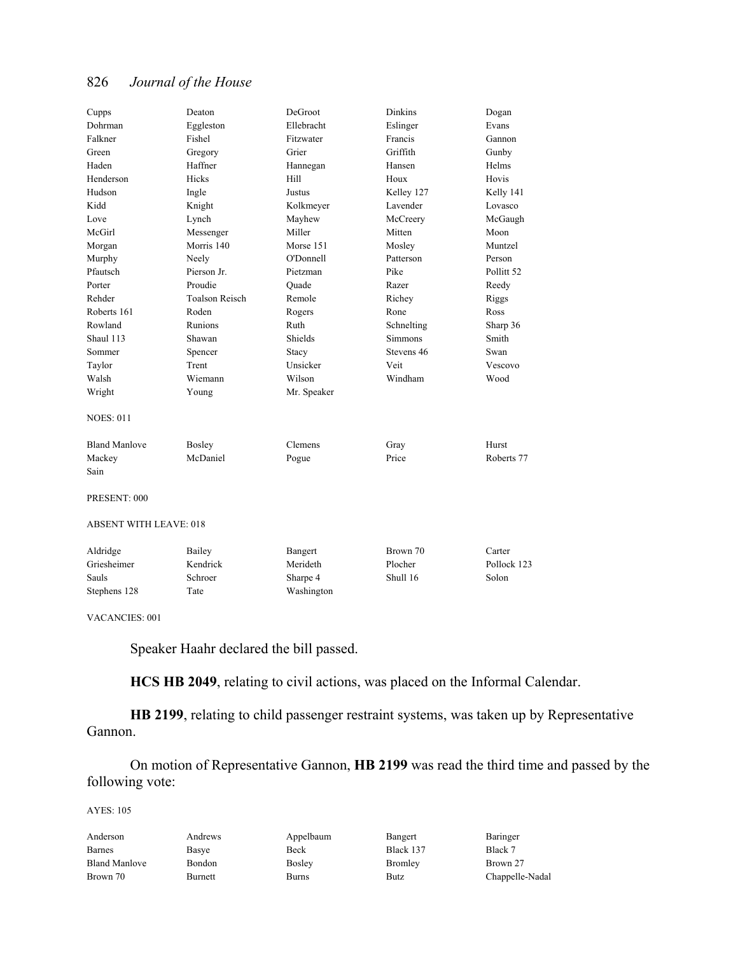| Cupps                         | Deaton                | DeGroot     | <b>Dinkins</b>         | Dogan                 |
|-------------------------------|-----------------------|-------------|------------------------|-----------------------|
| Dohrman                       | Eggleston             | Ellebracht  | Eslinger               | Evans                 |
| Falkner                       | Fishel                | Fitzwater   | Francis                | Gannon                |
| Green                         | Gregory               | Grier       | Griffith               | Gunby                 |
| Haden                         | Haffner               | Hannegan    | Hansen                 | Helms                 |
| Henderson                     | Hicks                 | Hill        | Houx                   | Hovis                 |
| Hudson                        | Ingle                 | Justus      | Kelley 127             | Kelly 141             |
| Kidd                          | Knight                | Kolkmeyer   | Lavender               | Lovasco               |
| Love                          | Lynch                 | Mayhew      | McCreery               | McGaugh               |
| McGirl                        | Messenger             | Miller      | Mitten                 | Moon                  |
| Morgan                        | Morris 140            | Morse 151   | Mosley                 | Muntzel               |
| Murphy                        | Neely                 | O'Donnell   | Patterson              | Person                |
| Pfautsch                      | Pierson Jr.           | Pietzman    | Pike                   | Pollitt <sub>52</sub> |
| Porter                        | Proudie               | Quade       | Razer                  | Reedy                 |
| Rehder                        | <b>Toalson Reisch</b> | Remole      | Richey                 | Riggs                 |
| Roberts 161                   | Roden                 | Rogers      | Rone                   | Ross                  |
| Rowland                       | Runions               | Ruth        | Schnelting             | Sharp 36              |
| Shaul 113                     | Shawan                | Shields     | <b>Simmons</b>         | Smith                 |
| Sommer                        | Spencer               | Stacy       | Stevens 46             | Swan                  |
| Taylor                        | Trent                 | Unsicker    | Veit                   | Vescovo               |
| Walsh                         | Wiemann               | Wilson      | Windham                | Wood                  |
| Wright                        | Young                 | Mr. Speaker |                        |                       |
| <b>NOES: 011</b>              |                       |             |                        |                       |
| <b>Bland Manlove</b>          | Bosley                | Clemens     | Gray                   | Hurst                 |
| Mackey                        | McDaniel              | Pogue       | Price                  | Roberts 77            |
| Sain                          |                       |             |                        |                       |
| PRESENT: 000                  |                       |             |                        |                       |
| <b>ABSENT WITH LEAVE: 018</b> |                       |             |                        |                       |
| 11111                         | $T^2$ $11$            |             | $\sim$<br>$\mathbf{r}$ |                       |

| Aldridge     | Bailey   | Bangert    | Brown 70 | Carter      |
|--------------|----------|------------|----------|-------------|
| Griesheimer  | Kendrick | Merideth   | Plocher  | Pollock 123 |
| Sauls        | Schroer  | Sharpe 4   | Shull 16 | Solon       |
| Stephens 128 | Tate     | Washington |          |             |

VACANCIES: 001

Speaker Haahr declared the bill passed.

**HCS HB 2049**, relating to civil actions, was placed on the Informal Calendar.

**HB 2199**, relating to child passenger restraint systems, was taken up by Representative Gannon.

 On motion of Representative Gannon, **HB 2199** was read the third time and passed by the following vote:

AYES: 105

| Anderson             | Andrews | Appelbaum     | Bangert        | Baringer        |
|----------------------|---------|---------------|----------------|-----------------|
| Barnes               | Basye   | Beck          | Black 137      | Black 7         |
| <b>Bland Manlove</b> | Bondon  | <b>Bosley</b> | <b>Bromley</b> | Brown 27        |
| Brown 70             | Burnett | Burns         | <b>Butz</b>    | Chappelle-Nadal |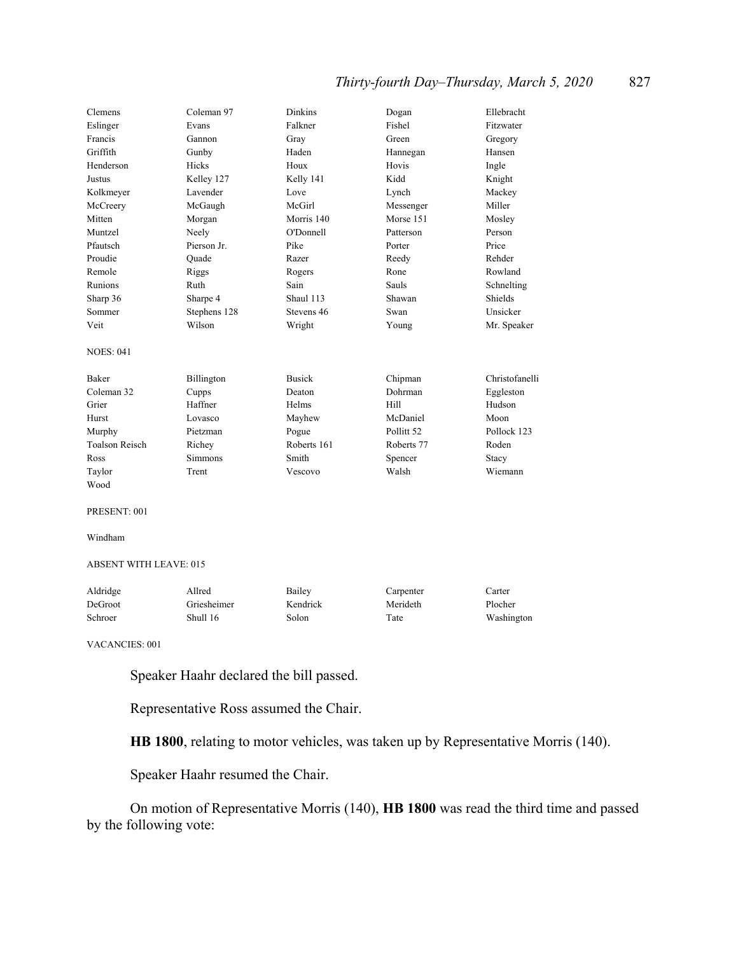# *Thirty-fourth Day–Thursday, March 5, 2020* 827

| Clemens               | Coleman 97   | Dinkins       | Dogan                 | Ellebracht     |
|-----------------------|--------------|---------------|-----------------------|----------------|
| Eslinger              | Evans        | Falkner       | Fishel                | Fitzwater      |
| Francis               | Gannon       | Gray          | Green                 | Gregory        |
| Griffith              | Gunby        | Haden         | Hannegan              | Hansen         |
| Henderson             | <b>Hicks</b> | Houx          | Hovis                 | Ingle          |
| Justus                | Kelley 127   | Kelly 141     | Kidd                  | Knight         |
| Kolkmeyer             | Lavender     | Love          | Lynch                 | Mackey         |
| McCreery              | McGaugh      | McGirl        | Messenger             | Miller         |
| Mitten                | Morgan       | Morris 140    | Morse 151             | Mosley         |
| Muntzel               | Neely        | O'Donnell     | Patterson             | Person         |
| Pfautsch              | Pierson Jr.  | Pike          | Porter                | Price          |
| Proudie               | Ouade        | Razer         | Reedy                 | Rehder         |
| Remole                | Riggs        | Rogers        | Rone                  | Rowland        |
| Runions               | Ruth         | Sain          | Sauls                 | Schnelting     |
| Sharp 36              | Sharpe 4     | Shaul 113     | Shawan                | Shields        |
| Sommer                | Stephens 128 | Stevens 46    | Swan                  | Unsicker       |
| Veit                  | Wilson       | Wright        | Young                 | Mr. Speaker    |
| <b>NOES: 041</b>      |              |               |                       |                |
| Baker                 | Billington   | <b>Busick</b> | Chipman               | Christofanelli |
| Coleman 32            | Cupps        | Deaton        | Dohrman               | Eggleston      |
| Grier                 | Haffner      | Helms         | Hill                  | Hudson         |
| Hurst                 | Lovasco      | Mayhew        | McDaniel              | Moon           |
| Murphy                | Pietzman     | Pogue         | Pollitt <sub>52</sub> | Pollock 123    |
| <b>Toalson Reisch</b> | Richey       | Roberts 161   | Roberts 77            | Roden          |
| Ross                  | Simmons      | Smith         | Spencer               | Stacy          |
| Taylor                | Trent        | Vescovo       | Walsh                 | Wiemann        |
| Wood                  |              |               |                       |                |

#### PRESENT: 001

Windham

#### ABSENT WITH LEAVE: 015

| Aldridge | Allred      | Bailey   | Carpenter | Carter     |
|----------|-------------|----------|-----------|------------|
| DeGroot  | Griesheimer | Kendrick | Merideth  | Plocher    |
| Schroer  | Shull 16    | Solon    | Tate      | Washington |

VACANCIES: 001

Speaker Haahr declared the bill passed.

Representative Ross assumed the Chair.

**HB 1800**, relating to motor vehicles, was taken up by Representative Morris (140).

Speaker Haahr resumed the Chair.

 On motion of Representative Morris (140), **HB 1800** was read the third time and passed by the following vote: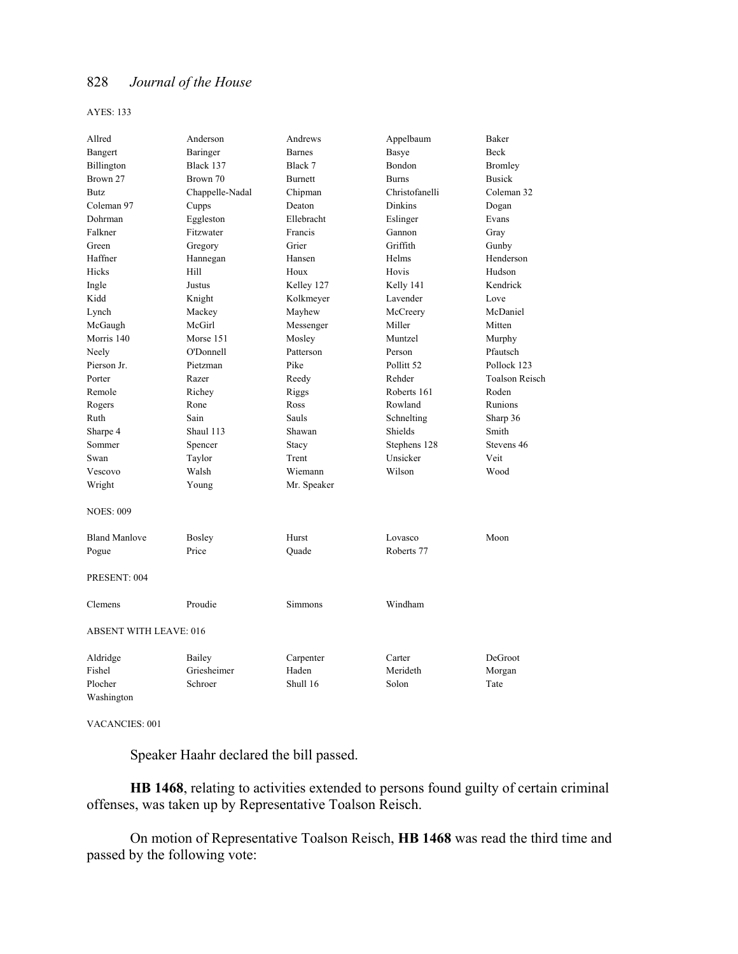AYES: 133

| Allred                        | Anderson        | Andrews        | Appelbaum             | Baker                 |
|-------------------------------|-----------------|----------------|-----------------------|-----------------------|
| Bangert                       | Baringer        | <b>Barnes</b>  | Basye                 | Beck                  |
| Billington                    | Black 137       | Black 7        | Bondon                | Bromley               |
| Brown 27                      | Brown 70        | <b>Burnett</b> | <b>Burns</b>          | <b>Busick</b>         |
| Butz                          | Chappelle-Nadal | Chipman        | Christofanelli        | Coleman 32            |
| Coleman 97                    | Cupps           | Deaton         | <b>Dinkins</b>        | Dogan                 |
| Dohrman                       | Eggleston       | Ellebracht     | Eslinger              | Evans                 |
| Falkner                       | Fitzwater       | Francis        | Gannon                | Gray                  |
| Green                         | Gregory         | Grier          | Griffith              | Gunby                 |
| Haffner                       | Hannegan        | Hansen         | Helms                 | Henderson             |
| Hicks                         | Hill            | Houx           | Hovis                 | Hudson                |
| Ingle                         | Justus          | Kelley 127     | Kelly 141             | Kendrick              |
| Kidd                          | Knight          | Kolkmeyer      | Lavender              | Love                  |
| Lynch                         | Mackey          | Mayhew         | McCreery              | McDaniel              |
| McGaugh                       | McGirl          | Messenger      | Miller                | Mitten                |
| Morris 140                    | Morse 151       | Mosley         | Muntzel               | Murphy                |
| Neely                         | O'Donnell       | Patterson      | Person                | Pfautsch              |
| Pierson Jr.                   | Pietzman        | Pike           | Pollitt <sub>52</sub> | Pollock 123           |
| Porter                        | Razer           | Reedy          | Rehder                | <b>Toalson Reisch</b> |
| Remole                        | Richey          | Riggs          | Roberts 161           | Roden                 |
| Rogers                        | Rone            | Ross           | Rowland               | Runions               |
| Ruth                          | Sain            | Sauls          | Schnelting            | Sharp 36              |
| Sharpe 4                      | Shaul 113       | Shawan         | Shields               | Smith                 |
| Sommer                        | Spencer         | Stacy          | Stephens 128          | Stevens 46            |
| Swan                          | Taylor          | Trent          | Unsicker              | Veit                  |
| Vescovo                       | Walsh           | Wiemann        | Wilson                | Wood                  |
| Wright                        | Young           | Mr. Speaker    |                       |                       |
| <b>NOES: 009</b>              |                 |                |                       |                       |
| <b>Bland Manlove</b>          | <b>Bosley</b>   | Hurst          | Lovasco               | Moon                  |
| Pogue                         | Price           | Quade          | Roberts 77            |                       |
| PRESENT: 004                  |                 |                |                       |                       |
| Clemens                       | Proudie         | Simmons        | Windham               |                       |
| <b>ABSENT WITH LEAVE: 016</b> |                 |                |                       |                       |
| Aldridge                      | Bailey          | Carpenter      | Carter                | DeGroot               |
| Fishel                        | Griesheimer     | Haden          | Merideth              | Morgan                |
| Plocher                       | Schroer         | Shull 16       | Solon                 | Tate                  |
| Washington                    |                 |                |                       |                       |

VACANCIES: 001

Speaker Haahr declared the bill passed.

**HB 1468**, relating to activities extended to persons found guilty of certain criminal offenses, was taken up by Representative Toalson Reisch.

 On motion of Representative Toalson Reisch, **HB 1468** was read the third time and passed by the following vote: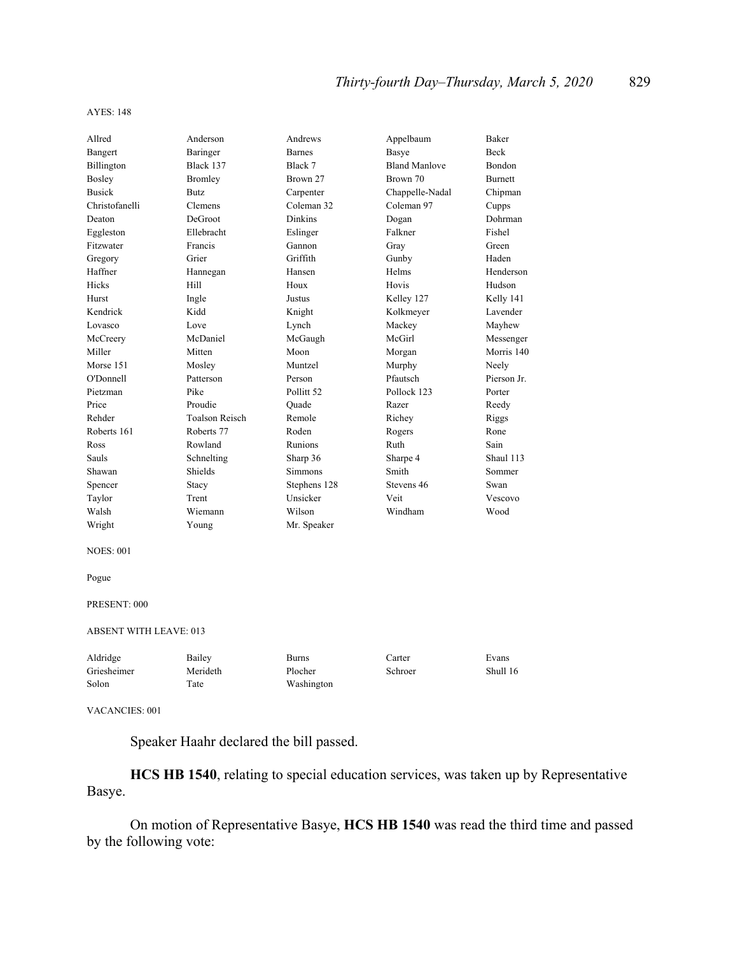#### AYES: 148

| Allred                 | Anderson              | Andrews        | Appelbaum            | Baker       |
|------------------------|-----------------------|----------------|----------------------|-------------|
| Bangert                | Baringer              | <b>Barnes</b>  | Basye                | <b>Beck</b> |
| Billington             | Black 137             | Black 7        | <b>Bland Manlove</b> | Bondon      |
| Bosley                 | <b>Bromley</b>        | Brown 27       | Brown 70             | Burnett     |
| <b>Busick</b>          | <b>Butz</b>           | Carpenter      | Chappelle-Nadal      | Chipman     |
| Christofanelli         | Clemens               | Coleman 32     | Coleman 97           | Cupps       |
| Deaton                 | DeGroot               | <b>Dinkins</b> | Dogan                | Dohrman     |
| Eggleston              | Ellebracht            | Eslinger       | Falkner              | Fishel      |
| Fitzwater              | Francis               | Gannon         | Grav                 | Green       |
| Gregory                | Grier                 | Griffith       | Gunby                | Haden       |
| Haffner                | Hannegan              | Hansen         | Helms                | Henderson   |
| Hicks                  | Hill                  | Houx           | Hovis                | Hudson      |
| Hurst                  | Ingle                 | Justus         | Kelley 127           | Kelly 141   |
| Kendrick               | Kidd                  | Knight         | Kolkmeyer            | Lavender    |
| Lovasco                | Love                  | Lynch          | Mackey               | Mayhew      |
| McCreery               | McDaniel              | McGaugh        | McGirl               | Messenger   |
| Miller                 | Mitten                | Moon           | Morgan               | Morris 140  |
| Morse 151              | Mosley                | Muntzel        | Murphy               | Neely       |
| O'Donnell              | Patterson             | Person         | Pfautsch             | Pierson Jr. |
| Pietzman               | Pike                  | Pollitt 52     | Pollock 123          | Porter      |
| Price                  | Proudie               | Ouade          | Razer                | Reedy       |
| Rehder                 | <b>Toalson Reisch</b> | Remole         | Richey               | Riggs       |
| Roberts 161            | Roberts 77            | Roden          | Rogers               | Rone        |
| Ross                   | Rowland               | Runions        | Ruth                 | Sain        |
| Sauls                  | Schnelting            | Sharp 36       | Sharpe 4             | Shaul 113   |
| Shawan                 | Shields               | Simmons        | Smith                | Sommer      |
| Spencer                | Stacy                 | Stephens 128   | Stevens 46           | Swan        |
| Taylor                 | Trent                 | Unsicker       | Veit                 | Vescovo     |
| Walsh                  | Wiemann               | Wilson         | Windham              | Wood        |
| Wright                 | Young                 | Mr. Speaker    |                      |             |
| <b>NOES: 001</b>       |                       |                |                      |             |
| Pogue                  |                       |                |                      |             |
| PRESENT: 000           |                       |                |                      |             |
| ABSENT WITH LEAVE: 013 |                       |                |                      |             |
| Aldridge               | Bailey                | <b>Burns</b>   | Carter               | Evans       |
| Griesheimer            | Merideth              | Plocher        | Schroer              | Shull 16    |
| Solon                  | Tate                  | Washington     |                      |             |

#### VACANCIES: 001

Speaker Haahr declared the bill passed.

**HCS HB 1540**, relating to special education services, was taken up by Representative Basye.

 On motion of Representative Basye, **HCS HB 1540** was read the third time and passed by the following vote: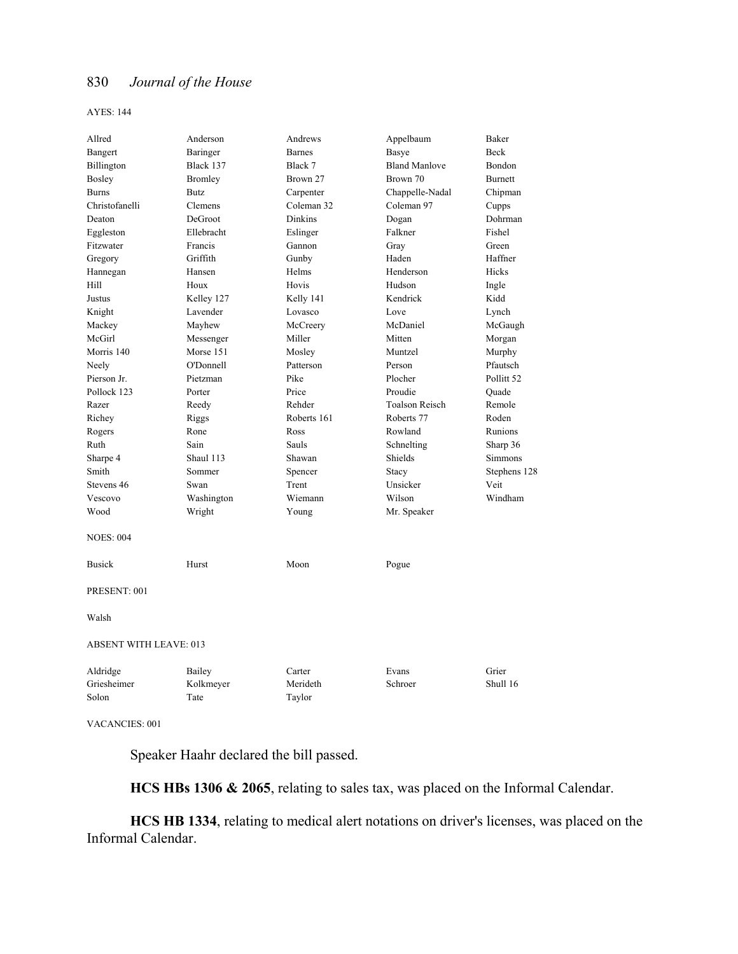AYES: 144

| Allred                           | Anderson                    | Andrews                      | Appelbaum             | Baker                 |
|----------------------------------|-----------------------------|------------------------------|-----------------------|-----------------------|
| Bangert                          | Baringer                    | <b>Barnes</b>                | Basye                 | Beck                  |
| Billington                       | Black 137                   | Black 7                      | <b>Bland Manlove</b>  | Bondon                |
| Bosley                           | <b>Bromley</b>              | Brown 27                     | Brown 70              | Burnett               |
| <b>Burns</b>                     | Butz                        | Carpenter                    | Chappelle-Nadal       | Chipman               |
| Christofanelli                   | Clemens                     | Coleman 32                   | Coleman 97            | Cupps                 |
| Deaton                           | DeGroot                     | <b>Dinkins</b>               | Dogan                 | Dohrman               |
| Eggleston                        | Ellebracht                  | Eslinger                     | Falkner               | Fishel                |
| Fitzwater                        | Francis                     | Gannon                       | Gray                  | Green                 |
| Gregory                          | Griffith                    | Gunby                        | Haden                 | Haffner               |
| Hannegan                         | Hansen                      | Helms                        | Henderson             | Hicks                 |
| Hill                             | Houx                        | Hovis                        | Hudson                | Ingle                 |
| Justus                           | Kelley 127                  | Kelly 141                    | Kendrick              | Kidd                  |
| Knight                           | Lavender                    | Lovasco                      | Love                  | Lynch                 |
| Mackey                           | Mayhew                      | McCreery                     | McDaniel              | McGaugh               |
| McGirl                           | Messenger                   | Miller                       | Mitten                | Morgan                |
| Morris 140                       | Morse 151                   | Mosley                       | Muntzel               | Murphy                |
| Neely                            | O'Donnell                   | Patterson                    | Person                | Pfautsch              |
| Pierson Jr.                      | Pietzman                    | Pike                         | Plocher               | Pollitt <sub>52</sub> |
| Pollock 123                      | Porter                      | Price                        | Proudie               | Quade                 |
| Razer                            | Reedy                       | Rehder                       | <b>Toalson Reisch</b> | Remole                |
| Richey                           | Riggs                       | Roberts 161                  | Roberts 77            | Roden                 |
| Rogers                           | Rone                        | Ross                         | Rowland               | Runions               |
| Ruth                             | Sain                        | Sauls                        | Schnelting            | Sharp 36              |
| Sharpe 4                         | Shaul 113                   | Shawan                       | Shields               | Simmons               |
| Smith                            | Sommer                      | Spencer                      | Stacy                 | Stephens 128          |
| Stevens 46                       | Swan                        | Trent                        | Unsicker              | Veit                  |
| Vescovo                          | Washington                  | Wiemann                      | Wilson                | Windham               |
| Wood                             | Wright                      | Young                        | Mr. Speaker           |                       |
| <b>NOES: 004</b>                 |                             |                              |                       |                       |
| <b>Busick</b>                    | Hurst                       | Moon                         | Pogue                 |                       |
| PRESENT: 001                     |                             |                              |                       |                       |
| Walsh                            |                             |                              |                       |                       |
| <b>ABSENT WITH LEAVE: 013</b>    |                             |                              |                       |                       |
| Aldridge<br>Griesheimer<br>Solon | Bailey<br>Kolkmeyer<br>Tate | Carter<br>Merideth<br>Taylor | Evans<br>Schroer      | Grier<br>Shull 16     |

VACANCIES: 001

Speaker Haahr declared the bill passed.

**HCS HBs 1306 & 2065**, relating to sales tax, was placed on the Informal Calendar.

**HCS HB 1334**, relating to medical alert notations on driver's licenses, was placed on the Informal Calendar.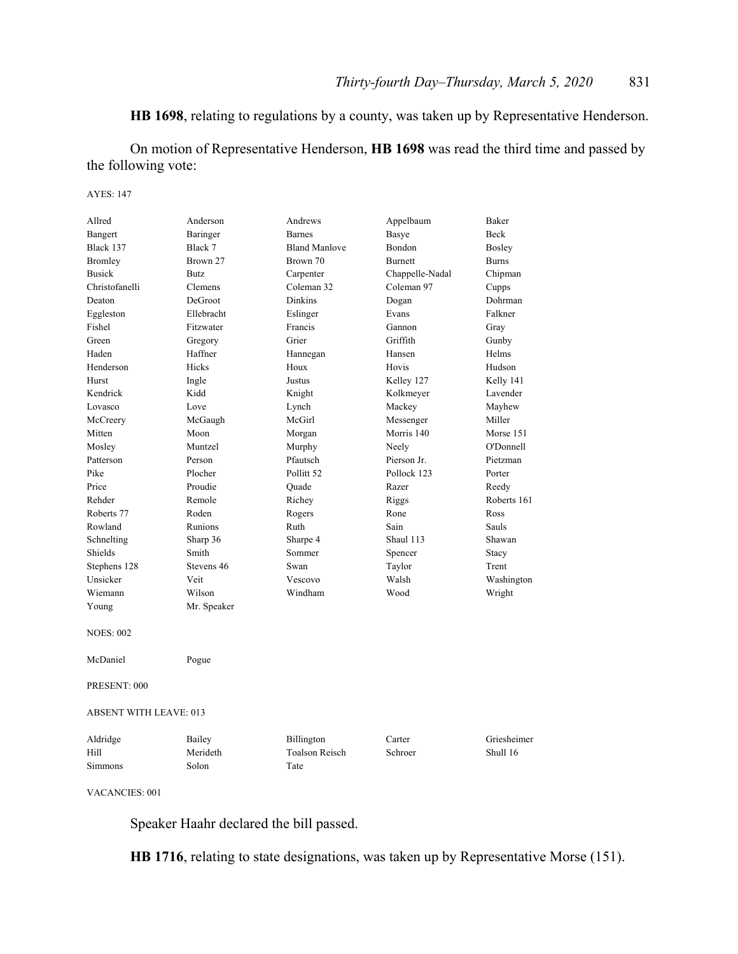# **HB 1698**, relating to regulations by a county, was taken up by Representative Henderson.

 On motion of Representative Henderson, **HB 1698** was read the third time and passed by the following vote:

#### AYES: 147

| Allred                        | Anderson    | Andrews               | Appelbaum       | Baker        |
|-------------------------------|-------------|-----------------------|-----------------|--------------|
| Bangert                       | Baringer    | <b>Barnes</b>         | Basye           | <b>Beck</b>  |
| Black 137                     | Black 7     | <b>Bland Manlove</b>  | Bondon          | Bosley       |
| Bromley                       | Brown 27    | Brown 70              | <b>Burnett</b>  | <b>Burns</b> |
| <b>Busick</b>                 | <b>Butz</b> | Carpenter             | Chappelle-Nadal | Chipman      |
| Christofanelli                | Clemens     | Coleman 32            | Coleman 97      | Cupps        |
| Deaton                        | DeGroot     | <b>Dinkins</b>        | Dogan           | Dohrman      |
| Eggleston                     | Ellebracht  | Eslinger              | Evans           | Falkner      |
| Fishel                        | Fitzwater   | Francis               | Gannon          | Gray         |
| Green                         | Gregory     | Grier                 | Griffith        | Gunby        |
| Haden                         | Haffner     | Hannegan              | Hansen          | Helms        |
| Henderson                     | Hicks       | Houx                  | Hovis           | Hudson       |
| Hurst                         | Ingle       | Justus                | Kelley 127      | Kelly 141    |
| Kendrick                      | Kidd        | Knight                | Kolkmeyer       | Lavender     |
| Lovasco                       | Love        | Lynch                 | Mackey          | Mayhew       |
| McCreery                      | McGaugh     | McGirl                | Messenger       | Miller       |
| Mitten                        | Moon        | Morgan                | Morris 140      | Morse 151    |
| Mosley                        | Muntzel     | Murphy                | Neely           | O'Donnell    |
| Patterson                     | Person      | Pfautsch              | Pierson Jr.     | Pietzman     |
| Pike                          | Plocher     | Pollitt 52            | Pollock 123     | Porter       |
| Price                         | Proudie     | Quade                 | Razer           | Reedy        |
| Rehder                        | Remole      | Richey                | Riggs           | Roberts 161  |
| Roberts 77                    | Roden       | Rogers                | Rone            | Ross         |
| Rowland                       | Runions     | Ruth                  | Sain            | Sauls        |
| Schnelting                    | Sharp 36    | Sharpe 4              | Shaul 113       | Shawan       |
| Shields                       | Smith       | Sommer                | Spencer         | Stacy        |
| Stephens 128                  | Stevens 46  | Swan                  | Taylor          | Trent        |
| Unsicker                      | Veit        | Vescovo               | Walsh           | Washington   |
| Wiemann                       | Wilson      | Windham               | Wood            | Wright       |
| Young                         | Mr. Speaker |                       |                 |              |
| <b>NOES: 002</b>              |             |                       |                 |              |
| McDaniel                      | Pogue       |                       |                 |              |
| PRESENT: 000                  |             |                       |                 |              |
| <b>ABSENT WITH LEAVE: 013</b> |             |                       |                 |              |
| Aldridge                      | Bailey      | Billington            | Carter          | Griesheimer  |
| Hill                          | Merideth    | <b>Toalson Reisch</b> | Schroer         | Shull 16     |
| <b>Simmons</b>                | Solon       | Tate                  |                 |              |
|                               |             |                       |                 |              |

VACANCIES: 001

Speaker Haahr declared the bill passed.

**HB 1716**, relating to state designations, was taken up by Representative Morse (151).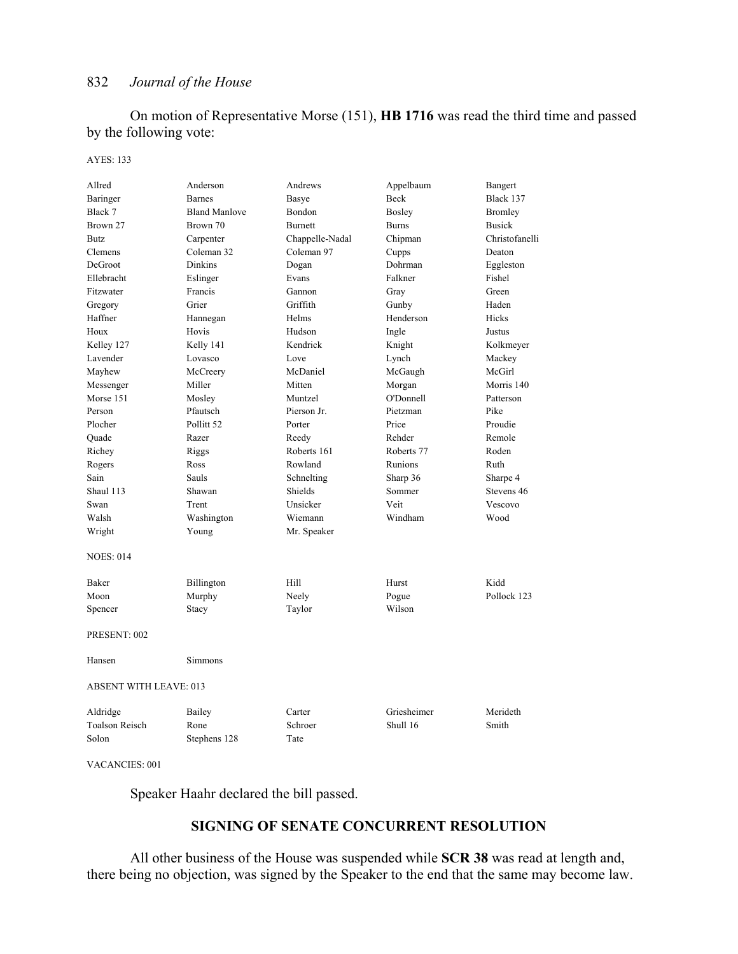On motion of Representative Morse (151), **HB 1716** was read the third time and passed by the following vote:

#### AYES: 133

| Allred                        | Anderson              | Andrews         | Appelbaum    | Bangert        |
|-------------------------------|-----------------------|-----------------|--------------|----------------|
| Baringer                      | <b>Barnes</b>         | <b>Basye</b>    | Beck         | Black 137      |
| Black 7                       | <b>Bland Manlove</b>  | Bondon          | Bosley       | Bromley        |
| Brown 27                      | Brown 70              | Burnett         | <b>Burns</b> | <b>Busick</b>  |
| Butz                          | Carpenter             | Chappelle-Nadal | Chipman      | Christofanelli |
| Clemens                       | Coleman 32            | Coleman 97      | Cupps        | Deaton         |
| DeGroot                       | <b>Dinkins</b>        | Dogan           | Dohrman      | Eggleston      |
| Ellebracht                    | Eslinger              | Evans           | Falkner      | Fishel         |
| Fitzwater                     | Francis               | Gannon          | Gray         | Green          |
| Gregory                       | Grier                 | Griffith        | Gunby        | Haden          |
| Haffner                       | Hannegan              | Helms           | Henderson    | Hicks          |
| Houx                          | Hovis                 | Hudson          | Ingle        | Justus         |
| Kelley 127                    | Kelly 141             | Kendrick        | Knight       | Kolkmeyer      |
| Lavender                      | Lovasco               | Love            | Lynch        | Mackey         |
| Mayhew                        | McCreery              | McDaniel        | McGaugh      | McGirl         |
| Messenger                     | Miller                | Mitten          | Morgan       | Morris 140     |
| Morse 151                     | Mosley                | Muntzel         | O'Donnell    | Patterson      |
| Person                        | Pfautsch              | Pierson Jr.     | Pietzman     | Pike           |
| Plocher                       | Pollitt <sub>52</sub> | Porter          | Price        | Proudie        |
| Quade                         | Razer                 | Reedy           | Rehder       | Remole         |
| Richey                        | Riggs                 | Roberts 161     | Roberts 77   | Roden          |
| Rogers                        | Ross                  | Rowland         | Runions      | Ruth           |
| Sain                          | Sauls                 | Schnelting      | Sharp 36     | Sharpe 4       |
| Shaul 113                     | Shawan                | Shields         | Sommer       | Stevens 46     |
| Swan                          | Trent                 | Unsicker        | Veit         | Vescovo        |
| Walsh                         | Washington            | Wiemann         | Windham      | Wood           |
| Wright                        | Young                 | Mr. Speaker     |              |                |
| <b>NOES: 014</b>              |                       |                 |              |                |
| Baker                         | Billington            | Hill            | Hurst        | Kidd           |
| Moon                          | Murphy                | Neely           | Pogue        | Pollock 123    |
| Spencer                       | Stacy                 | Taylor          | Wilson       |                |
| PRESENT: 002                  |                       |                 |              |                |
| Hansen                        | Simmons               |                 |              |                |
| <b>ABSENT WITH LEAVE: 013</b> |                       |                 |              |                |
| Aldridge                      | Bailey                | Carter          | Griesheimer  | Merideth       |
| <b>Toalson Reisch</b>         | Rone                  | Schroer         | Shull 16     | Smith          |
| Solon                         | Stephens 128          | Tate            |              |                |

VACANCIES: 001

Speaker Haahr declared the bill passed.

## **SIGNING OF SENATE CONCURRENT RESOLUTION**

 All other business of the House was suspended while **SCR 38** was read at length and, there being no objection, was signed by the Speaker to the end that the same may become law.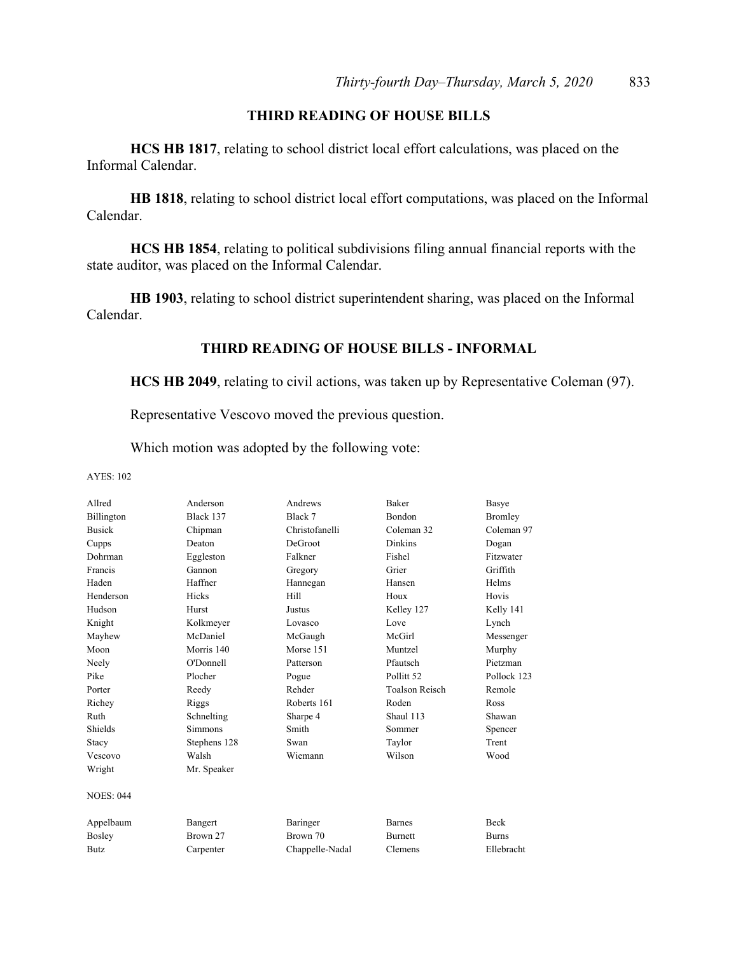# **THIRD READING OF HOUSE BILLS**

**HCS HB 1817**, relating to school district local effort calculations, was placed on the Informal Calendar.

**HB 1818**, relating to school district local effort computations, was placed on the Informal Calendar.

**HCS HB 1854**, relating to political subdivisions filing annual financial reports with the state auditor, was placed on the Informal Calendar.

**HB 1903**, relating to school district superintendent sharing, was placed on the Informal Calendar.

## **THIRD READING OF HOUSE BILLS - INFORMAL**

**HCS HB 2049**, relating to civil actions, was taken up by Representative Coleman (97).

Representative Vescovo moved the previous question.

Which motion was adopted by the following vote:

AYES: 102

| Allred           | Anderson       | Andrews         | <b>Baker</b>          | Basye          |
|------------------|----------------|-----------------|-----------------------|----------------|
| Billington       | Black 137      | Black 7         | Bondon                | <b>Bromley</b> |
| <b>Busick</b>    | Chipman        | Christofanelli  | Coleman 32            | Coleman 97     |
| Cupps            | Deaton         | DeGroot         | <b>Dinkins</b>        | Dogan          |
| Dohrman          | Eggleston      | Falkner         | Fishel                | Fitzwater      |
| Francis          | Gannon         | Gregory         | Grier                 | Griffith       |
| Haden            | Haffner        | Hannegan        | Hansen                | Helms          |
| Henderson        | Hicks          | Hill            | Houx                  | Hovis          |
| Hudson           | Hurst          | Justus          | Kelley 127            | Kelly 141      |
| Knight           | Kolkmeyer      | Lovasco         | Love                  | Lynch          |
| Mayhew           | McDaniel       | McGaugh         | McGirl                | Messenger      |
| Moon             | Morris 140     | Morse 151       | Muntzel               | Murphy         |
| Neely            | O'Donnell      | Patterson       | Pfautsch              | Pietzman       |
| Pike             | Plocher        | Pogue           | Pollitt <sub>52</sub> | Pollock 123    |
| Porter           | Reedy          | Rehder          | <b>Toalson Reisch</b> | Remole         |
| Richey           | Riggs          | Roberts 161     | Roden                 | <b>Ross</b>    |
| Ruth             | Schnelting     | Sharpe 4        | Shaul 113             | Shawan         |
| Shields          | <b>Simmons</b> | Smith           | Sommer                | Spencer        |
| Stacy            | Stephens 128   | Swan            | Taylor                | Trent          |
| Vescovo          | Walsh          | Wiemann         | Wilson                | Wood           |
| Wright           | Mr. Speaker    |                 |                       |                |
| <b>NOES: 044</b> |                |                 |                       |                |
| Appelbaum        | Bangert        | Baringer        | <b>Barnes</b>         | <b>Beck</b>    |
| Bosley           | Brown 27       | Brown 70        | <b>Burnett</b>        | <b>Burns</b>   |
| <b>Butz</b>      | Carpenter      | Chappelle-Nadal | Clemens               | Ellebracht     |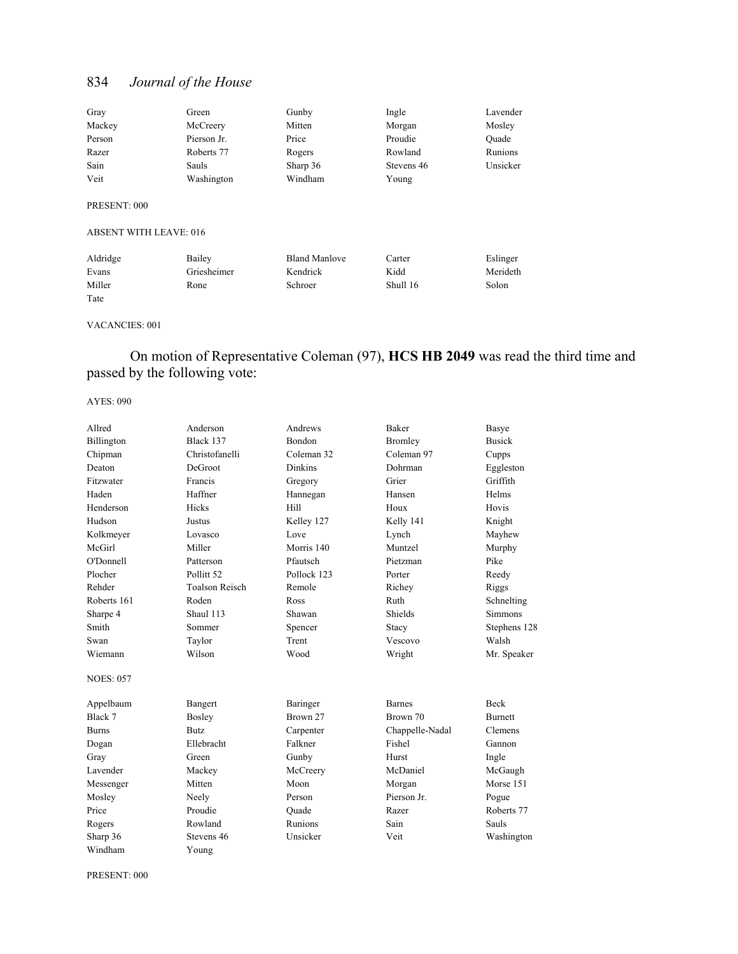| Gray                                          | Green       | Gunby                | Ingle      | Lavender |
|-----------------------------------------------|-------------|----------------------|------------|----------|
| Mackey                                        | McCreery    | Mitten               | Morgan     | Mosley   |
| Person                                        | Pierson Jr. | Price                | Proudie    | Ouade    |
| Razer                                         | Roberts 77  | Rogers               | Rowland    | Runions  |
| Sain                                          | Sauls       | Sharp 36             | Stevens 46 | Unsicker |
| Veit                                          | Washington  | Windham              | Young      |          |
| PRESENT: 000<br><b>ABSENT WITH LEAVE: 016</b> |             |                      |            |          |
| Aldridge                                      | Bailey      | <b>Bland Manlove</b> | Carter     | Eslinger |

Evans Griesheimer Kendrick Kidd Merideth Miller Rone Schroer Shull 16 Solon Tate

#### VACANCIES: 001

 On motion of Representative Coleman (97), **HCS HB 2049** was read the third time and passed by the following vote:

AYES: 090

| Allred           | Anderson              | Andrews        | <b>Baker</b>    | Basye          |
|------------------|-----------------------|----------------|-----------------|----------------|
| Billington       | Black 137             | <b>Bondon</b>  | <b>Bromley</b>  | <b>Busick</b>  |
| Chipman          | Christofanelli        | Coleman 32     | Coleman 97      | Cupps          |
| Deaton           | DeGroot               | <b>Dinkins</b> | Dohrman         | Eggleston      |
| Fitzwater        | Francis               | Gregory        | Grier           | Griffith       |
| Haden            | Haffner               | Hannegan       | Hansen          | Helms          |
| Henderson        | Hicks                 | Hill           | Houx            | Hovis          |
| Hudson           | Justus                | Kelley 127     | Kelly 141       | Knight         |
| Kolkmeyer        | Lovasco               | Love           | Lynch           | Mayhew         |
| McGirl           | Miller                | Morris 140     | Muntzel         | Murphy         |
| O'Donnell        | Patterson             | Pfautsch       | Pietzman        | Pike           |
| Plocher          | Pollitt <sub>52</sub> | Pollock 123    | Porter          | Reedy          |
| Rehder           | <b>Toalson Reisch</b> | Remole         | Richey          | Riggs          |
| Roberts 161      | Roden                 | Ross           | Ruth            | Schnelting     |
| Sharpe 4         | Shaul 113             | Shawan         | Shields         | <b>Simmons</b> |
| Smith            | Sommer                | Spencer        | Stacy           | Stephens 128   |
| Swan             | Taylor                | Trent          | Vescovo         | Walsh          |
| Wiemann          | Wilson                | Wood           | Wright          | Mr. Speaker    |
| <b>NOES: 057</b> |                       |                |                 |                |
| Appelbaum        | Bangert               | Baringer       | <b>Barnes</b>   | <b>Beck</b>    |
| Black 7          | <b>Bosley</b>         | Brown 27       | Brown 70        | <b>Burnett</b> |
| <b>Burns</b>     | <b>Butz</b>           | Carpenter      | Chappelle-Nadal | Clemens        |
| Dogan            | Ellebracht            | Falkner        | Fishel          | Gannon         |
| Gray             | Green                 | Gunby          | Hurst           | Ingle          |
| Lavender         | Mackey                | McCreery       | McDaniel        | McGaugh        |
| Messenger        | Mitten                | Moon           | Morgan          | Morse 151      |
| Mosley           | Neely                 | Person         | Pierson Jr.     | Pogue          |
| Price            | Proudie               | Ouade          | Razer           | Roberts 77     |
| Rogers           | Rowland               | Runions        | Sain            | Sauls          |
| Sharp 36         | Stevens 46            | Unsicker       | Veit            | Washington     |
| Windham          | Young                 |                |                 |                |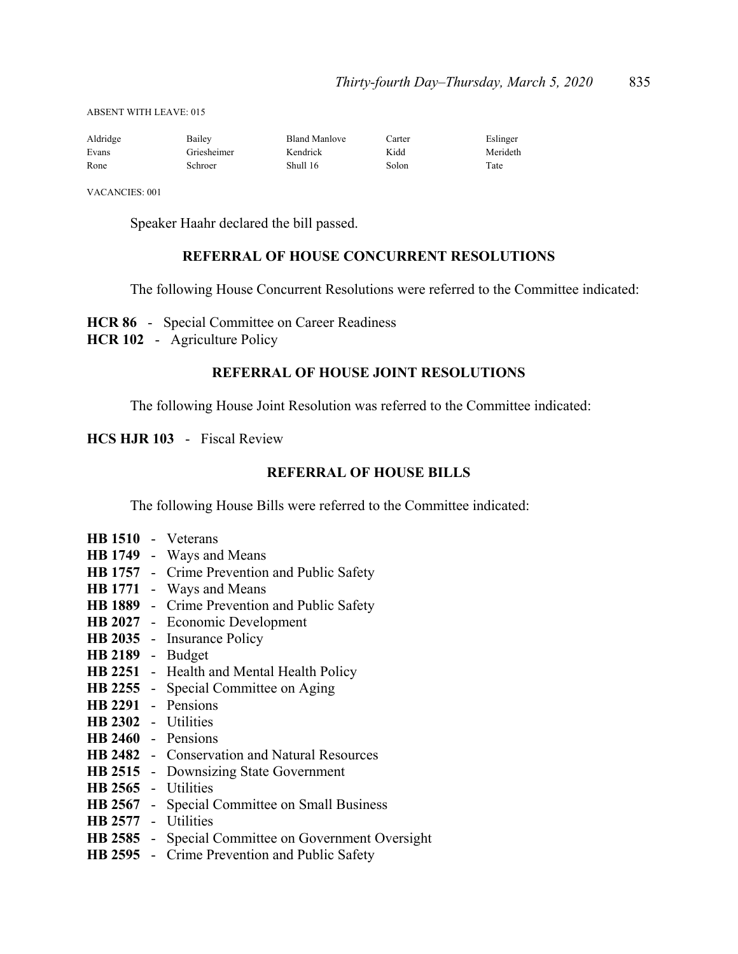ABSENT WITH LEAVE: 015

| Aldridge | Bailey      | <b>Bland Manlove</b> | Carter | Eslinger |
|----------|-------------|----------------------|--------|----------|
| Evans    | Griesheimer | Kendrick             | Kidd   | Merideth |
| Rone     | Schroer     | Shull 16             | Solon  | Tate     |

VACANCIES: 001

Speaker Haahr declared the bill passed.

## **REFERRAL OF HOUSE CONCURRENT RESOLUTIONS**

The following House Concurrent Resolutions were referred to the Committee indicated:

**HCR 86** - Special Committee on Career Readiness

**HCR 102** - Agriculture Policy

## **REFERRAL OF HOUSE JOINT RESOLUTIONS**

The following House Joint Resolution was referred to the Committee indicated:

**HCS HJR 103** - Fiscal Review

## **REFERRAL OF HOUSE BILLS**

The following House Bills were referred to the Committee indicated:

| HB 1510 - Veterans  |                                                      |
|---------------------|------------------------------------------------------|
|                     | HB 1749 - Ways and Means                             |
|                     | <b>HB 1757</b> - Crime Prevention and Public Safety  |
|                     | HB 1771 - Ways and Means                             |
|                     | HB 1889 - Crime Prevention and Public Safety         |
|                     | HB 2027 - Economic Development                       |
|                     | HB 2035 - Insurance Policy                           |
| HB 2189 - Budget    |                                                      |
|                     | HB 2251 - Health and Mental Health Policy            |
|                     | HB 2255 - Special Committee on Aging                 |
| HB 2291 - Pensions  |                                                      |
| HB 2302 - Utilities |                                                      |
| HB 2460 - Pensions  |                                                      |
|                     | <b>HB 2482</b> - Conservation and Natural Resources  |
|                     | HB 2515 - Downsizing State Government                |
| HB 2565 - Utilities |                                                      |
|                     | <b>HB 2567</b> - Special Committee on Small Business |
| HB 2577 - Utilities |                                                      |
|                     | HB 2585 - Special Committee on Government Oversight  |
|                     | HB 2595 - Crime Prevention and Public Safety         |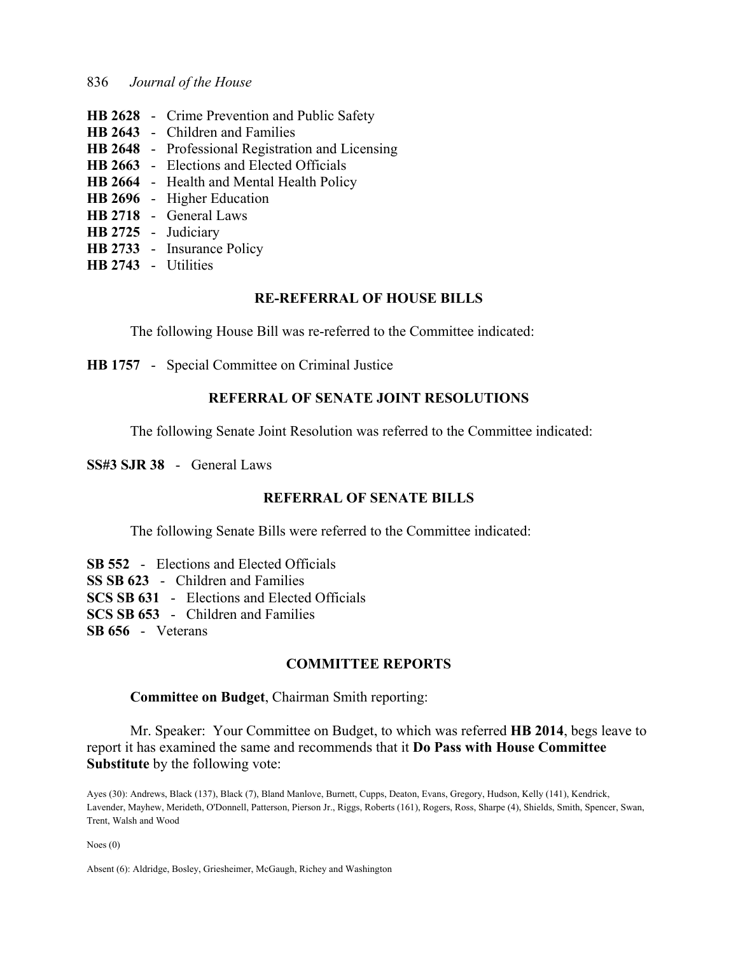- **HB 2628** Crime Prevention and Public Safety
- **HB 2643** Children and Families
- **HB 2648** Professional Registration and Licensing
- **HB 2663** Elections and Elected Officials
- **HB 2664** Health and Mental Health Policy
- **HB 2696** Higher Education
- **HB 2718** General Laws
- **HB 2725** Judiciary
- **HB 2733** Insurance Policy
- **HB 2743** Utilities

## **RE-REFERRAL OF HOUSE BILLS**

The following House Bill was re-referred to the Committee indicated:

**HB 1757** - Special Committee on Criminal Justice

# **REFERRAL OF SENATE JOINT RESOLUTIONS**

The following Senate Joint Resolution was referred to the Committee indicated:

**SS#3 SJR 38** - General Laws

## **REFERRAL OF SENATE BILLS**

The following Senate Bills were referred to the Committee indicated:

**SB 552** - Elections and Elected Officials **SS SB 623** - Children and Families **SCS SB 631** - Elections and Elected Officials **SCS SB 653** - Children and Families **SB 656** - Veterans

## **COMMITTEE REPORTS**

#### **Committee on Budget**, Chairman Smith reporting:

 Mr. Speaker: Your Committee on Budget, to which was referred **HB 2014**, begs leave to report it has examined the same and recommends that it **Do Pass with House Committee Substitute** by the following vote:

Ayes (30): Andrews, Black (137), Black (7), Bland Manlove, Burnett, Cupps, Deaton, Evans, Gregory, Hudson, Kelly (141), Kendrick, Lavender, Mayhew, Merideth, O'Donnell, Patterson, Pierson Jr., Riggs, Roberts (161), Rogers, Ross, Sharpe (4), Shields, Smith, Spencer, Swan, Trent, Walsh and Wood

Noes (0)

Absent (6): Aldridge, Bosley, Griesheimer, McGaugh, Richey and Washington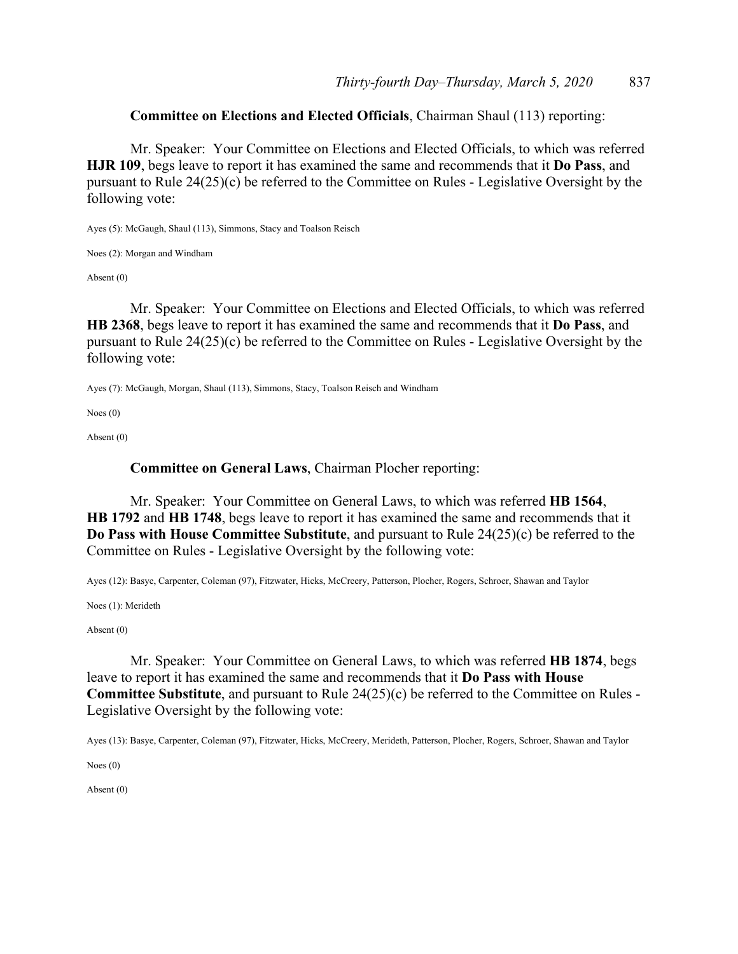## **Committee on Elections and Elected Officials**, Chairman Shaul (113) reporting:

 Mr. Speaker: Your Committee on Elections and Elected Officials, to which was referred **HJR 109**, begs leave to report it has examined the same and recommends that it **Do Pass**, and pursuant to Rule 24(25)(c) be referred to the Committee on Rules - Legislative Oversight by the following vote:

Ayes (5): McGaugh, Shaul (113), Simmons, Stacy and Toalson Reisch

Noes (2): Morgan and Windham

Absent (0)

 Mr. Speaker: Your Committee on Elections and Elected Officials, to which was referred **HB 2368**, begs leave to report it has examined the same and recommends that it **Do Pass**, and pursuant to Rule 24(25)(c) be referred to the Committee on Rules - Legislative Oversight by the following vote:

Ayes (7): McGaugh, Morgan, Shaul (113), Simmons, Stacy, Toalson Reisch and Windham

Noes (0)

Absent (0)

#### **Committee on General Laws**, Chairman Plocher reporting:

 Mr. Speaker: Your Committee on General Laws, to which was referred **HB 1564**, **HB 1792** and **HB 1748**, begs leave to report it has examined the same and recommends that it **Do Pass with House Committee Substitute**, and pursuant to Rule 24(25)(c) be referred to the Committee on Rules - Legislative Oversight by the following vote:

Ayes (12): Basye, Carpenter, Coleman (97), Fitzwater, Hicks, McCreery, Patterson, Plocher, Rogers, Schroer, Shawan and Taylor

Noes (1): Merideth

Absent (0)

 Mr. Speaker: Your Committee on General Laws, to which was referred **HB 1874**, begs leave to report it has examined the same and recommends that it **Do Pass with House Committee Substitute**, and pursuant to Rule 24(25)(c) be referred to the Committee on Rules - Legislative Oversight by the following vote:

Ayes (13): Basye, Carpenter, Coleman (97), Fitzwater, Hicks, McCreery, Merideth, Patterson, Plocher, Rogers, Schroer, Shawan and Taylor

Noes (0)

Absent (0)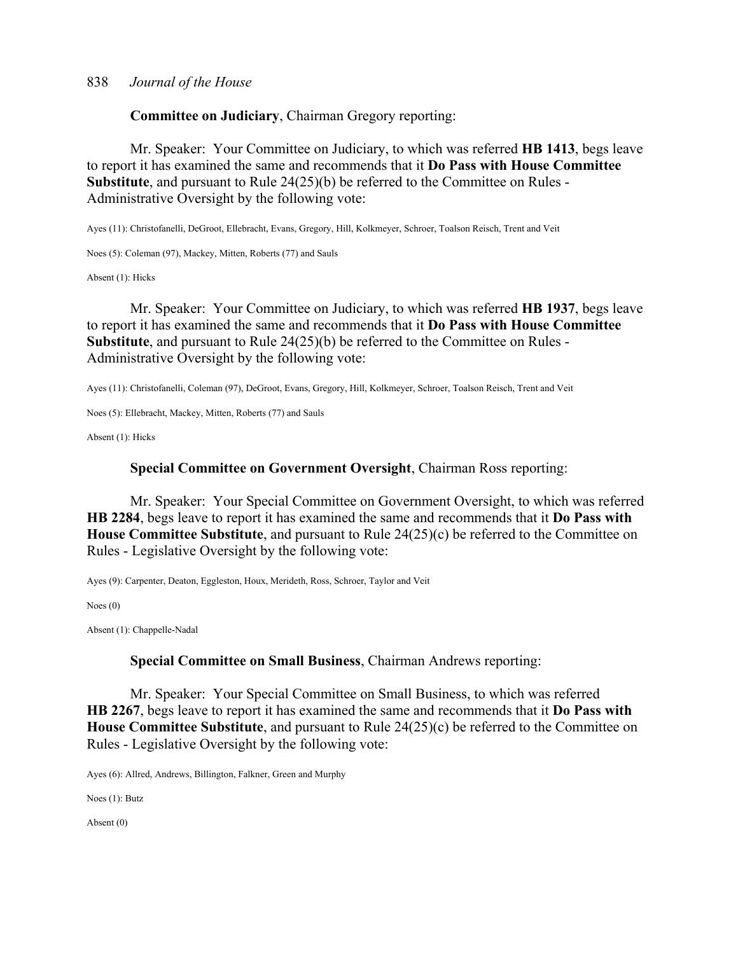**Committee on Judiciary**, Chairman Gregory reporting:

 Mr. Speaker: Your Committee on Judiciary, to which was referred **HB 1413**, begs leave to report it has examined the same and recommends that it **Do Pass with House Committee Substitute**, and pursuant to Rule 24(25)(b) be referred to the Committee on Rules - Administrative Oversight by the following vote:

Ayes (11): Christofanelli, DeGroot, Ellebracht, Evans, Gregory, Hill, Kolkmeyer, Schroer, Toalson Reisch, Trent and Veit

Noes (5): Coleman (97), Mackey, Mitten, Roberts (77) and Sauls

Absent (1): Hicks

 Mr. Speaker: Your Committee on Judiciary, to which was referred **HB 1937**, begs leave to report it has examined the same and recommends that it **Do Pass with House Committee Substitute**, and pursuant to Rule 24(25)(b) be referred to the Committee on Rules - Administrative Oversight by the following vote:

Ayes (11): Christofanelli, Coleman (97), DeGroot, Evans, Gregory, Hill, Kolkmeyer, Schroer, Toalson Reisch, Trent and Veit

Noes (5): Ellebracht, Mackey, Mitten, Roberts (77) and Sauls

Absent (1): Hicks

#### **Special Committee on Government Oversight**, Chairman Ross reporting:

 Mr. Speaker: Your Special Committee on Government Oversight, to which was referred **HB 2284**, begs leave to report it has examined the same and recommends that it **Do Pass with House Committee Substitute**, and pursuant to Rule 24(25)(c) be referred to the Committee on Rules - Legislative Oversight by the following vote:

Ayes (9): Carpenter, Deaton, Eggleston, Houx, Merideth, Ross, Schroer, Taylor and Veit

Noes (0)

Absent (1): Chappelle-Nadal

#### **Special Committee on Small Business**, Chairman Andrews reporting:

 Mr. Speaker: Your Special Committee on Small Business, to which was referred **HB 2267**, begs leave to report it has examined the same and recommends that it **Do Pass with House Committee Substitute**, and pursuant to Rule 24(25)(c) be referred to the Committee on Rules - Legislative Oversight by the following vote:

Ayes (6): Allred, Andrews, Billington, Falkner, Green and Murphy

Noes (1): Butz

Absent (0)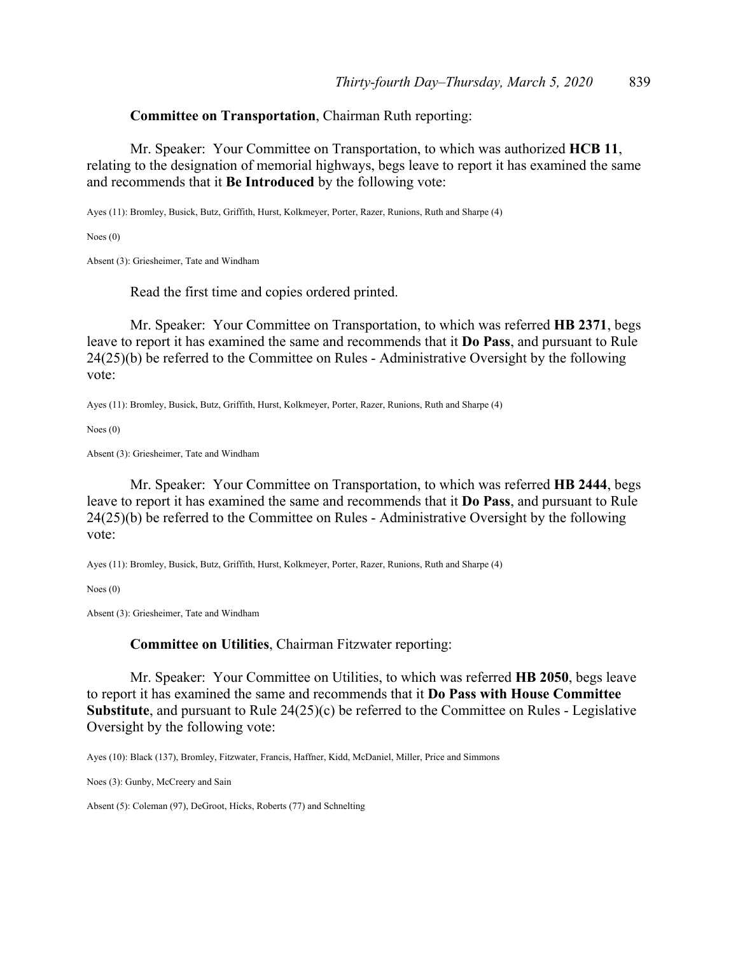#### **Committee on Transportation**, Chairman Ruth reporting:

 Mr. Speaker: Your Committee on Transportation, to which was authorized **HCB 11**, relating to the designation of memorial highways, begs leave to report it has examined the same and recommends that it **Be Introduced** by the following vote:

Ayes (11): Bromley, Busick, Butz, Griffith, Hurst, Kolkmeyer, Porter, Razer, Runions, Ruth and Sharpe (4)

Noes (0)

Absent (3): Griesheimer, Tate and Windham

Read the first time and copies ordered printed.

 Mr. Speaker: Your Committee on Transportation, to which was referred **HB 2371**, begs leave to report it has examined the same and recommends that it **Do Pass**, and pursuant to Rule 24(25)(b) be referred to the Committee on Rules - Administrative Oversight by the following vote:

Ayes (11): Bromley, Busick, Butz, Griffith, Hurst, Kolkmeyer, Porter, Razer, Runions, Ruth and Sharpe (4)

Noes (0)

Absent (3): Griesheimer, Tate and Windham

 Mr. Speaker: Your Committee on Transportation, to which was referred **HB 2444**, begs leave to report it has examined the same and recommends that it **Do Pass**, and pursuant to Rule 24(25)(b) be referred to the Committee on Rules - Administrative Oversight by the following vote:

Ayes (11): Bromley, Busick, Butz, Griffith, Hurst, Kolkmeyer, Porter, Razer, Runions, Ruth and Sharpe (4)

Noes (0)

Absent (3): Griesheimer, Tate and Windham

#### **Committee on Utilities**, Chairman Fitzwater reporting:

 Mr. Speaker: Your Committee on Utilities, to which was referred **HB 2050**, begs leave to report it has examined the same and recommends that it **Do Pass with House Committee Substitute**, and pursuant to Rule 24(25)(c) be referred to the Committee on Rules - Legislative Oversight by the following vote:

Ayes (10): Black (137), Bromley, Fitzwater, Francis, Haffner, Kidd, McDaniel, Miller, Price and Simmons

Noes (3): Gunby, McCreery and Sain

Absent (5): Coleman (97), DeGroot, Hicks, Roberts (77) and Schnelting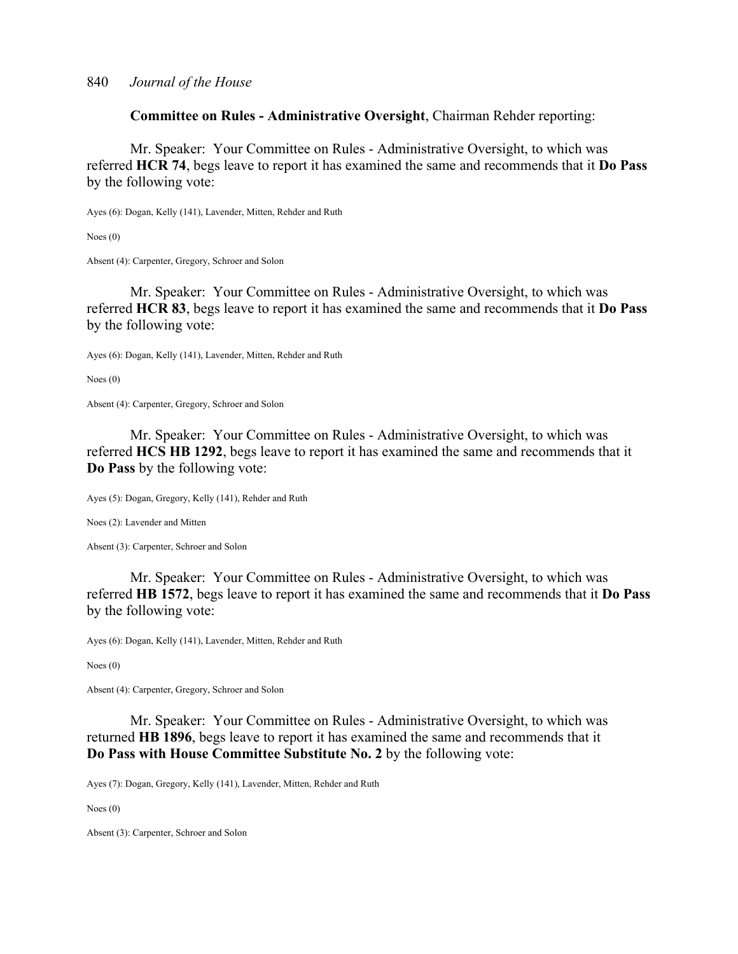**Committee on Rules - Administrative Oversight**, Chairman Rehder reporting:

 Mr. Speaker: Your Committee on Rules - Administrative Oversight, to which was referred **HCR 74**, begs leave to report it has examined the same and recommends that it **Do Pass** by the following vote:

Ayes (6): Dogan, Kelly (141), Lavender, Mitten, Rehder and Ruth

Noes (0)

Absent (4): Carpenter, Gregory, Schroer and Solon

 Mr. Speaker: Your Committee on Rules - Administrative Oversight, to which was referred **HCR 83**, begs leave to report it has examined the same and recommends that it **Do Pass** by the following vote:

Ayes (6): Dogan, Kelly (141), Lavender, Mitten, Rehder and Ruth

Noes (0)

Absent (4): Carpenter, Gregory, Schroer and Solon

 Mr. Speaker: Your Committee on Rules - Administrative Oversight, to which was referred **HCS HB 1292**, begs leave to report it has examined the same and recommends that it **Do Pass** by the following vote:

Ayes (5): Dogan, Gregory, Kelly (141), Rehder and Ruth

Noes (2): Lavender and Mitten

Absent (3): Carpenter, Schroer and Solon

 Mr. Speaker: Your Committee on Rules - Administrative Oversight, to which was referred **HB 1572**, begs leave to report it has examined the same and recommends that it **Do Pass** by the following vote:

Ayes (6): Dogan, Kelly (141), Lavender, Mitten, Rehder and Ruth

Noes (0)

Absent (4): Carpenter, Gregory, Schroer and Solon

 Mr. Speaker: Your Committee on Rules - Administrative Oversight, to which was returned **HB 1896**, begs leave to report it has examined the same and recommends that it **Do Pass with House Committee Substitute No. 2** by the following vote:

Ayes (7): Dogan, Gregory, Kelly (141), Lavender, Mitten, Rehder and Ruth

Noes (0)

Absent (3): Carpenter, Schroer and Solon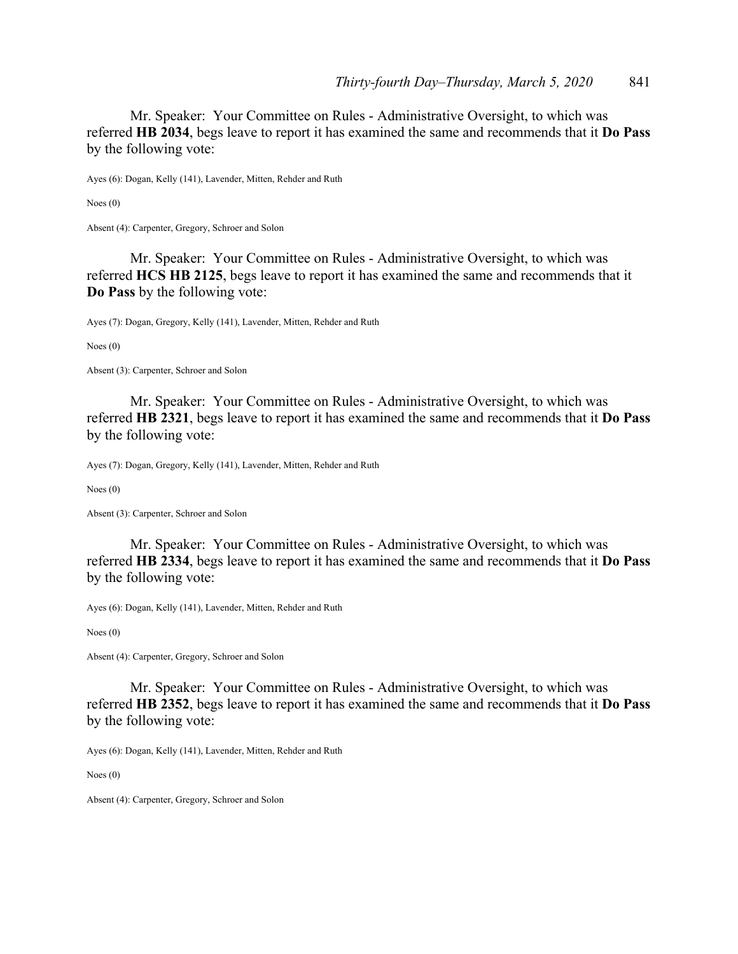Mr. Speaker: Your Committee on Rules - Administrative Oversight, to which was referred **HB 2034**, begs leave to report it has examined the same and recommends that it **Do Pass** by the following vote:

Ayes (6): Dogan, Kelly (141), Lavender, Mitten, Rehder and Ruth

Noes (0)

Absent (4): Carpenter, Gregory, Schroer and Solon

 Mr. Speaker: Your Committee on Rules - Administrative Oversight, to which was referred **HCS HB 2125**, begs leave to report it has examined the same and recommends that it **Do Pass** by the following vote:

Ayes (7): Dogan, Gregory, Kelly (141), Lavender, Mitten, Rehder and Ruth

Noes (0)

Absent (3): Carpenter, Schroer and Solon

 Mr. Speaker: Your Committee on Rules - Administrative Oversight, to which was referred **HB 2321**, begs leave to report it has examined the same and recommends that it **Do Pass** by the following vote:

Ayes (7): Dogan, Gregory, Kelly (141), Lavender, Mitten, Rehder and Ruth

Noes (0)

Absent (3): Carpenter, Schroer and Solon

 Mr. Speaker: Your Committee on Rules - Administrative Oversight, to which was referred **HB 2334**, begs leave to report it has examined the same and recommends that it **Do Pass** by the following vote:

Ayes (6): Dogan, Kelly (141), Lavender, Mitten, Rehder and Ruth

Noes (0)

Absent (4): Carpenter, Gregory, Schroer and Solon

 Mr. Speaker: Your Committee on Rules - Administrative Oversight, to which was referred **HB 2352**, begs leave to report it has examined the same and recommends that it **Do Pass** by the following vote:

Ayes (6): Dogan, Kelly (141), Lavender, Mitten, Rehder and Ruth

Noes (0)

Absent (4): Carpenter, Gregory, Schroer and Solon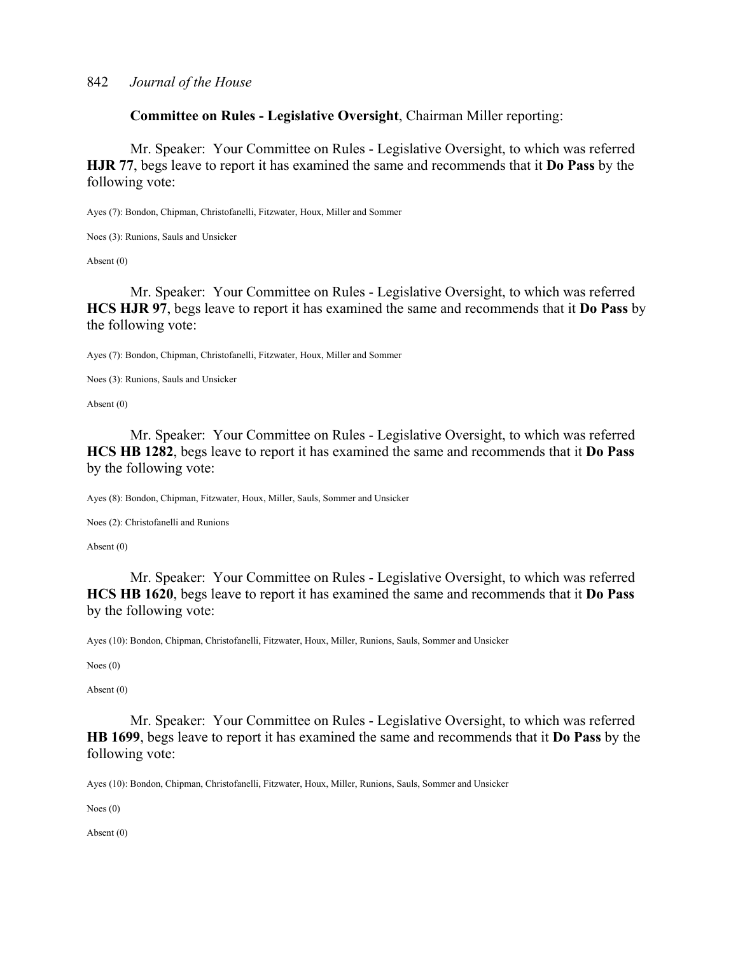**Committee on Rules - Legislative Oversight**, Chairman Miller reporting:

 Mr. Speaker: Your Committee on Rules - Legislative Oversight, to which was referred **HJR 77**, begs leave to report it has examined the same and recommends that it **Do Pass** by the following vote:

Ayes (7): Bondon, Chipman, Christofanelli, Fitzwater, Houx, Miller and Sommer

Noes (3): Runions, Sauls and Unsicker

Absent (0)

 Mr. Speaker: Your Committee on Rules - Legislative Oversight, to which was referred **HCS HJR 97**, begs leave to report it has examined the same and recommends that it **Do Pass** by the following vote:

Ayes (7): Bondon, Chipman, Christofanelli, Fitzwater, Houx, Miller and Sommer

Noes (3): Runions, Sauls and Unsicker

Absent (0)

 Mr. Speaker: Your Committee on Rules - Legislative Oversight, to which was referred **HCS HB 1282**, begs leave to report it has examined the same and recommends that it **Do Pass** by the following vote:

Ayes (8): Bondon, Chipman, Fitzwater, Houx, Miller, Sauls, Sommer and Unsicker

Noes (2): Christofanelli and Runions

Absent (0)

 Mr. Speaker: Your Committee on Rules - Legislative Oversight, to which was referred **HCS HB 1620**, begs leave to report it has examined the same and recommends that it **Do Pass** by the following vote:

Ayes (10): Bondon, Chipman, Christofanelli, Fitzwater, Houx, Miller, Runions, Sauls, Sommer and Unsicker

Noes (0)

Absent (0)

 Mr. Speaker: Your Committee on Rules - Legislative Oversight, to which was referred **HB 1699**, begs leave to report it has examined the same and recommends that it **Do Pass** by the following vote:

Ayes (10): Bondon, Chipman, Christofanelli, Fitzwater, Houx, Miller, Runions, Sauls, Sommer and Unsicker

Noes (0)

Absent (0)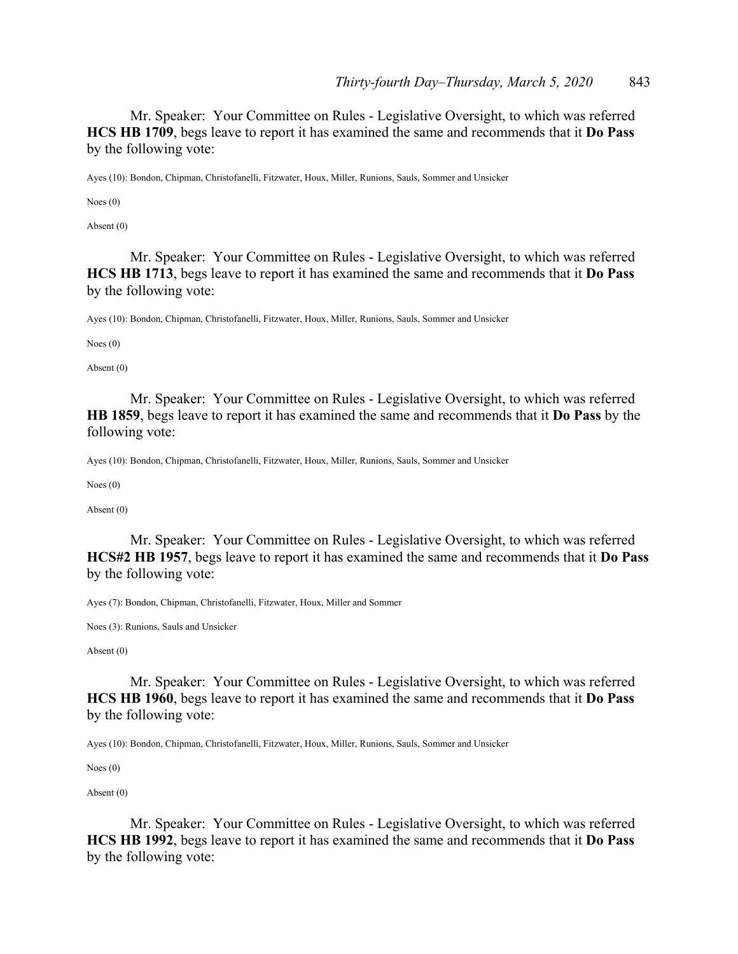Mr. Speaker: Your Committee on Rules - Legislative Oversight, to which was referred **HCS HB 1709**, begs leave to report it has examined the same and recommends that it **Do Pass** by the following vote:

Ayes (10): Bondon, Chipman, Christofanelli, Fitzwater, Houx, Miller, Runions, Sauls, Sommer and Unsicker

Noes (0)

Absent (0)

 Mr. Speaker: Your Committee on Rules - Legislative Oversight, to which was referred **HCS HB 1713**, begs leave to report it has examined the same and recommends that it **Do Pass** by the following vote:

Ayes (10): Bondon, Chipman, Christofanelli, Fitzwater, Houx, Miller, Runions, Sauls, Sommer and Unsicker

Noes (0)

Absent (0)

 Mr. Speaker: Your Committee on Rules - Legislative Oversight, to which was referred **HB 1859**, begs leave to report it has examined the same and recommends that it **Do Pass** by the following vote:

Ayes (10): Bondon, Chipman, Christofanelli, Fitzwater, Houx, Miller, Runions, Sauls, Sommer and Unsicker

Noes (0)

Absent (0)

 Mr. Speaker: Your Committee on Rules - Legislative Oversight, to which was referred **HCS#2 HB 1957**, begs leave to report it has examined the same and recommends that it **Do Pass** by the following vote:

Ayes (7): Bondon, Chipman, Christofanelli, Fitzwater, Houx, Miller and Sommer

Noes (3): Runions, Sauls and Unsicker

Absent (0)

 Mr. Speaker: Your Committee on Rules - Legislative Oversight, to which was referred **HCS HB 1960**, begs leave to report it has examined the same and recommends that it **Do Pass** by the following vote:

Ayes (10): Bondon, Chipman, Christofanelli, Fitzwater, Houx, Miller, Runions, Sauls, Sommer and Unsicker

Noes (0)

Absent (0)

 Mr. Speaker: Your Committee on Rules - Legislative Oversight, to which was referred **HCS HB 1992**, begs leave to report it has examined the same and recommends that it **Do Pass** by the following vote: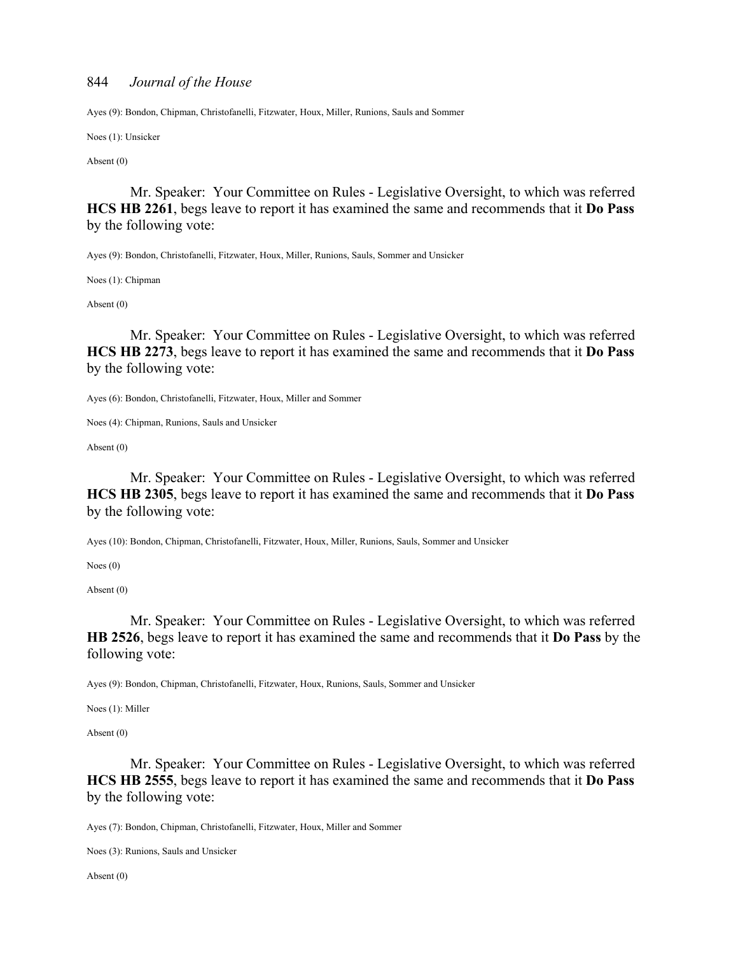Ayes (9): Bondon, Chipman, Christofanelli, Fitzwater, Houx, Miller, Runions, Sauls and Sommer

Noes (1): Unsicker

Absent (0)

 Mr. Speaker: Your Committee on Rules - Legislative Oversight, to which was referred **HCS HB 2261**, begs leave to report it has examined the same and recommends that it **Do Pass** by the following vote:

Ayes (9): Bondon, Christofanelli, Fitzwater, Houx, Miller, Runions, Sauls, Sommer and Unsicker

Noes (1): Chipman

Absent (0)

 Mr. Speaker: Your Committee on Rules - Legislative Oversight, to which was referred **HCS HB 2273**, begs leave to report it has examined the same and recommends that it **Do Pass** by the following vote:

Ayes (6): Bondon, Christofanelli, Fitzwater, Houx, Miller and Sommer

Noes (4): Chipman, Runions, Sauls and Unsicker

Absent (0)

 Mr. Speaker: Your Committee on Rules - Legislative Oversight, to which was referred **HCS HB 2305**, begs leave to report it has examined the same and recommends that it **Do Pass** by the following vote:

Ayes (10): Bondon, Chipman, Christofanelli, Fitzwater, Houx, Miller, Runions, Sauls, Sommer and Unsicker

Noes (0)

Absent (0)

 Mr. Speaker: Your Committee on Rules - Legislative Oversight, to which was referred **HB 2526**, begs leave to report it has examined the same and recommends that it **Do Pass** by the following vote:

Ayes (9): Bondon, Chipman, Christofanelli, Fitzwater, Houx, Runions, Sauls, Sommer and Unsicker

Noes (1): Miller

Absent (0)

 Mr. Speaker: Your Committee on Rules - Legislative Oversight, to which was referred **HCS HB 2555**, begs leave to report it has examined the same and recommends that it **Do Pass** by the following vote:

Ayes (7): Bondon, Chipman, Christofanelli, Fitzwater, Houx, Miller and Sommer

Noes (3): Runions, Sauls and Unsicker

Absent (0)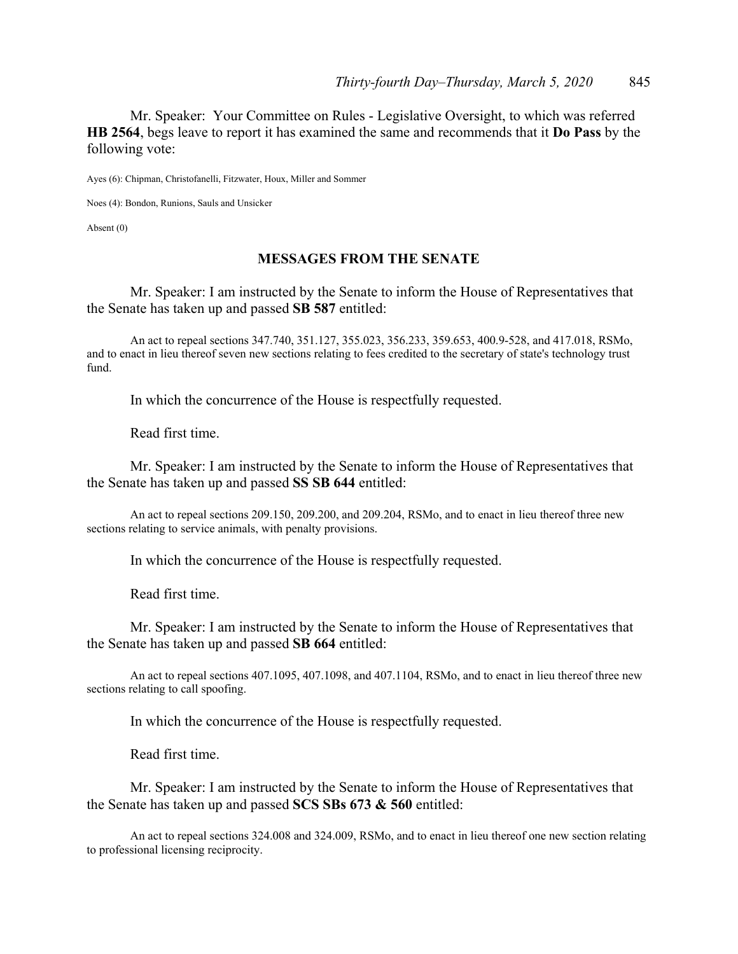Mr. Speaker: Your Committee on Rules - Legislative Oversight, to which was referred **HB 2564**, begs leave to report it has examined the same and recommends that it **Do Pass** by the following vote:

Ayes (6): Chipman, Christofanelli, Fitzwater, Houx, Miller and Sommer

Noes (4): Bondon, Runions, Sauls and Unsicker

Absent (0)

#### **MESSAGES FROM THE SENATE**

 Mr. Speaker: I am instructed by the Senate to inform the House of Representatives that the Senate has taken up and passed **SB 587** entitled:

 An act to repeal sections 347.740, 351.127, 355.023, 356.233, 359.653, 400.9-528, and 417.018, RSMo, and to enact in lieu thereof seven new sections relating to fees credited to the secretary of state's technology trust fund.

In which the concurrence of the House is respectfully requested.

Read first time.

 Mr. Speaker: I am instructed by the Senate to inform the House of Representatives that the Senate has taken up and passed **SS SB 644** entitled:

 An act to repeal sections 209.150, 209.200, and 209.204, RSMo, and to enact in lieu thereof three new sections relating to service animals, with penalty provisions.

In which the concurrence of the House is respectfully requested.

Read first time.

 Mr. Speaker: I am instructed by the Senate to inform the House of Representatives that the Senate has taken up and passed **SB 664** entitled:

 An act to repeal sections 407.1095, 407.1098, and 407.1104, RSMo, and to enact in lieu thereof three new sections relating to call spoofing.

In which the concurrence of the House is respectfully requested.

Read first time.

 Mr. Speaker: I am instructed by the Senate to inform the House of Representatives that the Senate has taken up and passed **SCS SBs 673 & 560** entitled:

 An act to repeal sections 324.008 and 324.009, RSMo, and to enact in lieu thereof one new section relating to professional licensing reciprocity.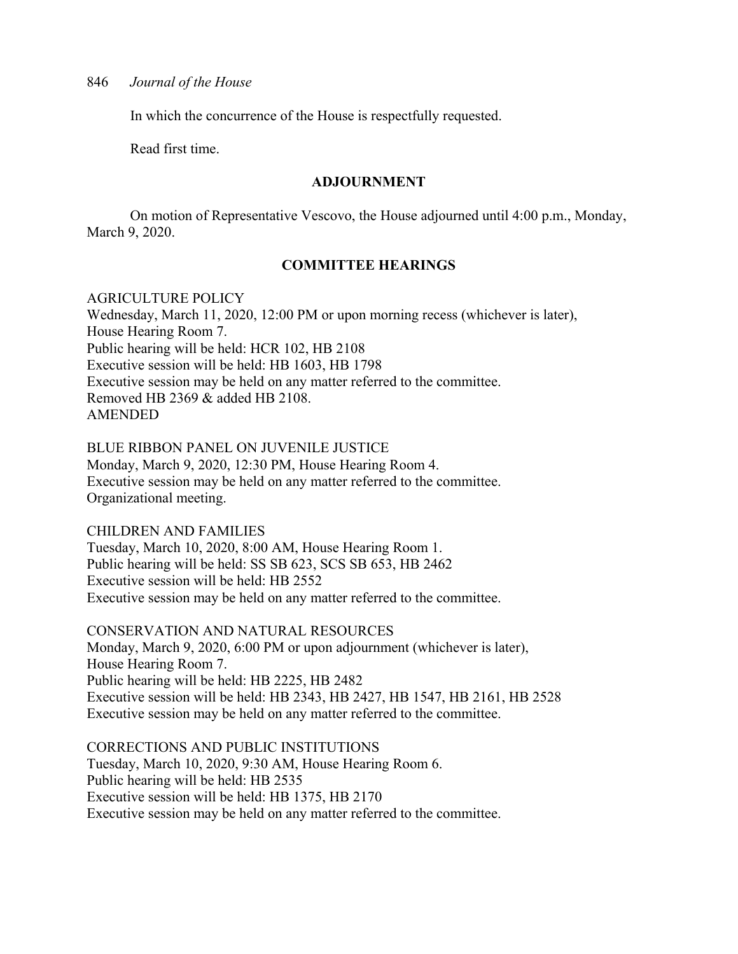In which the concurrence of the House is respectfully requested.

Read first time.

#### **ADJOURNMENT**

 On motion of Representative Vescovo, the House adjourned until 4:00 p.m., Monday, March 9, 2020.

## **COMMITTEE HEARINGS**

#### AGRICULTURE POLICY

Wednesday, March 11, 2020, 12:00 PM or upon morning recess (whichever is later), House Hearing Room 7. Public hearing will be held: HCR 102, HB 2108 Executive session will be held: HB 1603, HB 1798 Executive session may be held on any matter referred to the committee. Removed HB 2369 & added HB 2108. AMENDED

BLUE RIBBON PANEL ON JUVENILE JUSTICE

Monday, March 9, 2020, 12:30 PM, House Hearing Room 4. Executive session may be held on any matter referred to the committee. Organizational meeting.

CHILDREN AND FAMILIES

Tuesday, March 10, 2020, 8:00 AM, House Hearing Room 1. Public hearing will be held: SS SB 623, SCS SB 653, HB 2462 Executive session will be held: HB 2552 Executive session may be held on any matter referred to the committee.

CONSERVATION AND NATURAL RESOURCES Monday, March 9, 2020, 6:00 PM or upon adjournment (whichever is later), House Hearing Room 7. Public hearing will be held: HB 2225, HB 2482 Executive session will be held: HB 2343, HB 2427, HB 1547, HB 2161, HB 2528 Executive session may be held on any matter referred to the committee.

CORRECTIONS AND PUBLIC INSTITUTIONS Tuesday, March 10, 2020, 9:30 AM, House Hearing Room 6. Public hearing will be held: HB 2535 Executive session will be held: HB 1375, HB 2170 Executive session may be held on any matter referred to the committee.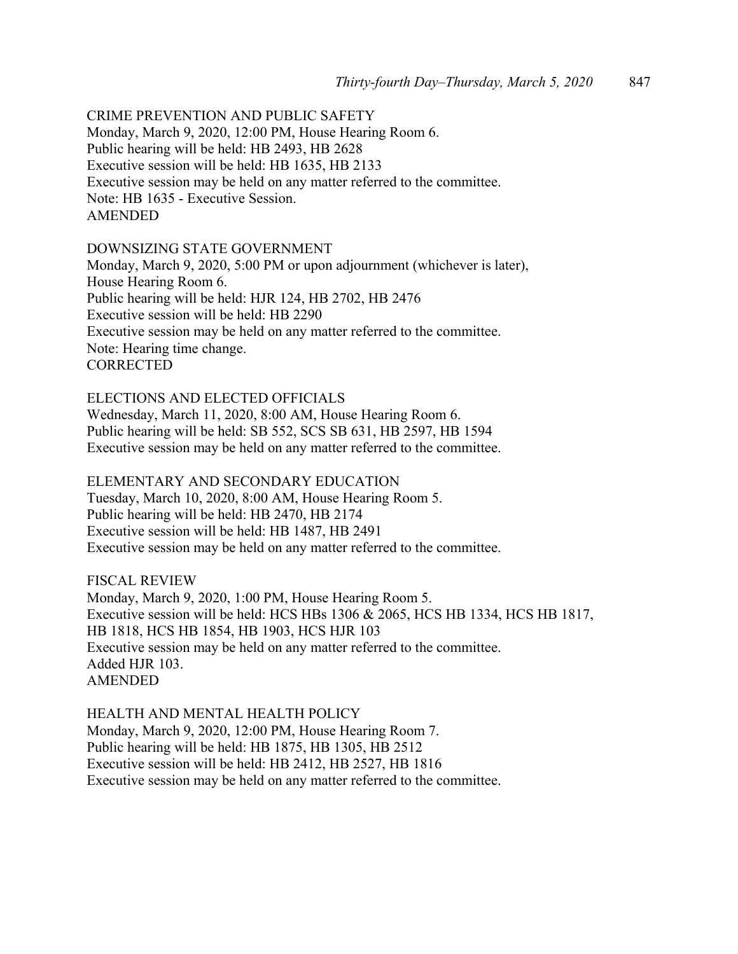#### CRIME PREVENTION AND PUBLIC SAFETY

Monday, March 9, 2020, 12:00 PM, House Hearing Room 6. Public hearing will be held: HB 2493, HB 2628 Executive session will be held: HB 1635, HB 2133 Executive session may be held on any matter referred to the committee. Note: HB 1635 - Executive Session. AMENDED

#### DOWNSIZING STATE GOVERNMENT

Monday, March 9, 2020, 5:00 PM or upon adjournment (whichever is later), House Hearing Room 6. Public hearing will be held: HJR 124, HB 2702, HB 2476 Executive session will be held: HB 2290 Executive session may be held on any matter referred to the committee. Note: Hearing time change. **CORRECTED** 

ELECTIONS AND ELECTED OFFICIALS Wednesday, March 11, 2020, 8:00 AM, House Hearing Room 6. Public hearing will be held: SB 552, SCS SB 631, HB 2597, HB 1594 Executive session may be held on any matter referred to the committee.

ELEMENTARY AND SECONDARY EDUCATION Tuesday, March 10, 2020, 8:00 AM, House Hearing Room 5. Public hearing will be held: HB 2470, HB 2174 Executive session will be held: HB 1487, HB 2491 Executive session may be held on any matter referred to the committee.

FISCAL REVIEW Monday, March 9, 2020, 1:00 PM, House Hearing Room 5. Executive session will be held: HCS HBs 1306 & 2065, HCS HB 1334, HCS HB 1817, HB 1818, HCS HB 1854, HB 1903, HCS HJR 103 Executive session may be held on any matter referred to the committee. Added HJR 103. AMENDED

HEALTH AND MENTAL HEALTH POLICY Monday, March 9, 2020, 12:00 PM, House Hearing Room 7. Public hearing will be held: HB 1875, HB 1305, HB 2512 Executive session will be held: HB 2412, HB 2527, HB 1816 Executive session may be held on any matter referred to the committee.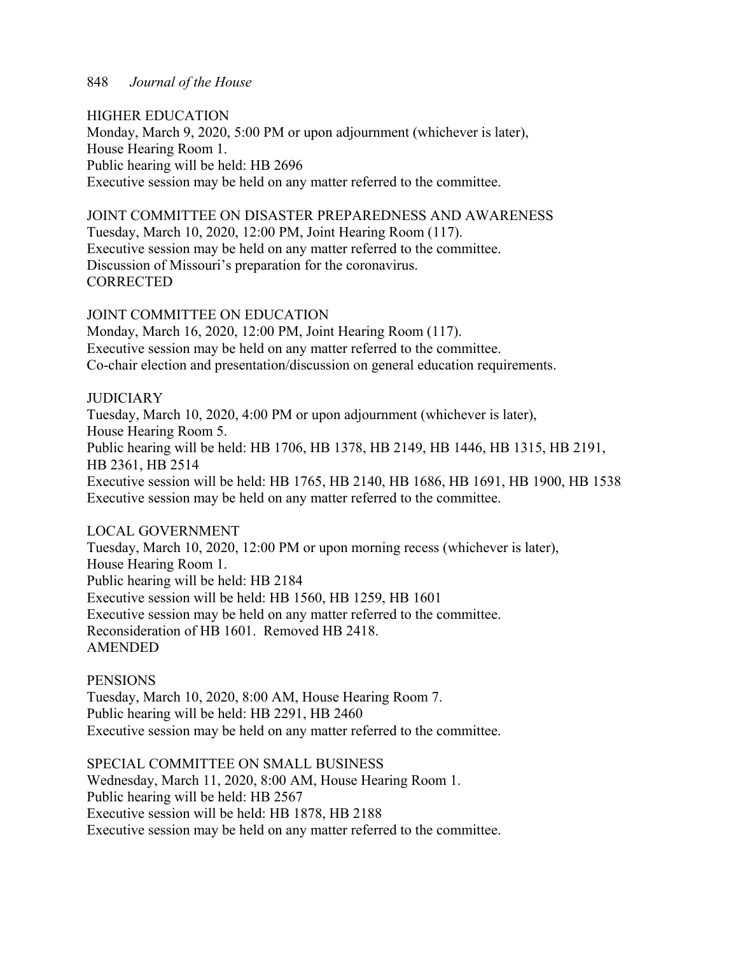#### HIGHER EDUCATION

Monday, March 9, 2020, 5:00 PM or upon adjournment (whichever is later), House Hearing Room 1. Public hearing will be held: HB 2696 Executive session may be held on any matter referred to the committee.

## JOINT COMMITTEE ON DISASTER PREPAREDNESS AND AWARENESS

Tuesday, March 10, 2020, 12:00 PM, Joint Hearing Room (117). Executive session may be held on any matter referred to the committee. Discussion of Missouri's preparation for the coronavirus. **CORRECTED** 

## JOINT COMMITTEE ON EDUCATION

Monday, March 16, 2020, 12:00 PM, Joint Hearing Room (117). Executive session may be held on any matter referred to the committee. Co-chair election and presentation/discussion on general education requirements.

## **JUDICIARY**

Tuesday, March 10, 2020, 4:00 PM or upon adjournment (whichever is later), House Hearing Room 5. Public hearing will be held: HB 1706, HB 1378, HB 2149, HB 1446, HB 1315, HB 2191, HB 2361, HB 2514 Executive session will be held: HB 1765, HB 2140, HB 1686, HB 1691, HB 1900, HB 1538 Executive session may be held on any matter referred to the committee.

## LOCAL GOVERNMENT

Tuesday, March 10, 2020, 12:00 PM or upon morning recess (whichever is later), House Hearing Room 1. Public hearing will be held: HB 2184 Executive session will be held: HB 1560, HB 1259, HB 1601 Executive session may be held on any matter referred to the committee. Reconsideration of HB 1601. Removed HB 2418. AMENDED

#### PENSIONS

Tuesday, March 10, 2020, 8:00 AM, House Hearing Room 7. Public hearing will be held: HB 2291, HB 2460 Executive session may be held on any matter referred to the committee.

SPECIAL COMMITTEE ON SMALL BUSINESS Wednesday, March 11, 2020, 8:00 AM, House Hearing Room 1. Public hearing will be held: HB 2567 Executive session will be held: HB 1878, HB 2188 Executive session may be held on any matter referred to the committee.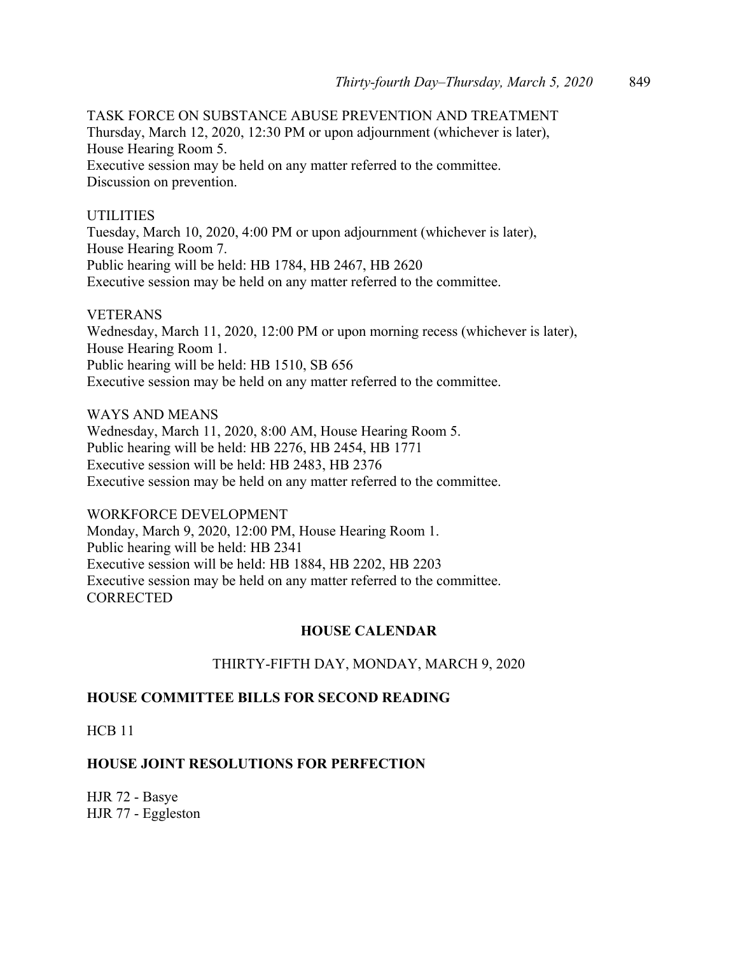TASK FORCE ON SUBSTANCE ABUSE PREVENTION AND TREATMENT Thursday, March 12, 2020, 12:30 PM or upon adjournment (whichever is later), House Hearing Room 5. Executive session may be held on any matter referred to the committee. Discussion on prevention.

## UTILITIES

Tuesday, March 10, 2020, 4:00 PM or upon adjournment (whichever is later), House Hearing Room 7. Public hearing will be held: HB 1784, HB 2467, HB 2620 Executive session may be held on any matter referred to the committee.

#### VETERANS

Wednesday, March 11, 2020, 12:00 PM or upon morning recess (whichever is later), House Hearing Room 1. Public hearing will be held: HB 1510, SB 656 Executive session may be held on any matter referred to the committee.

WAYS AND MEANS Wednesday, March 11, 2020, 8:00 AM, House Hearing Room 5. Public hearing will be held: HB 2276, HB 2454, HB 1771 Executive session will be held: HB 2483, HB 2376 Executive session may be held on any matter referred to the committee.

WORKFORCE DEVELOPMENT Monday, March 9, 2020, 12:00 PM, House Hearing Room 1. Public hearing will be held: HB 2341 Executive session will be held: HB 1884, HB 2202, HB 2203 Executive session may be held on any matter referred to the committee. **CORRECTED** 

## **HOUSE CALENDAR**

## THIRTY-FIFTH DAY, MONDAY, MARCH 9, 2020

## **HOUSE COMMITTEE BILLS FOR SECOND READING**

HCB 11

## **HOUSE JOINT RESOLUTIONS FOR PERFECTION**

HJR 72 - Basye HJR 77 - Eggleston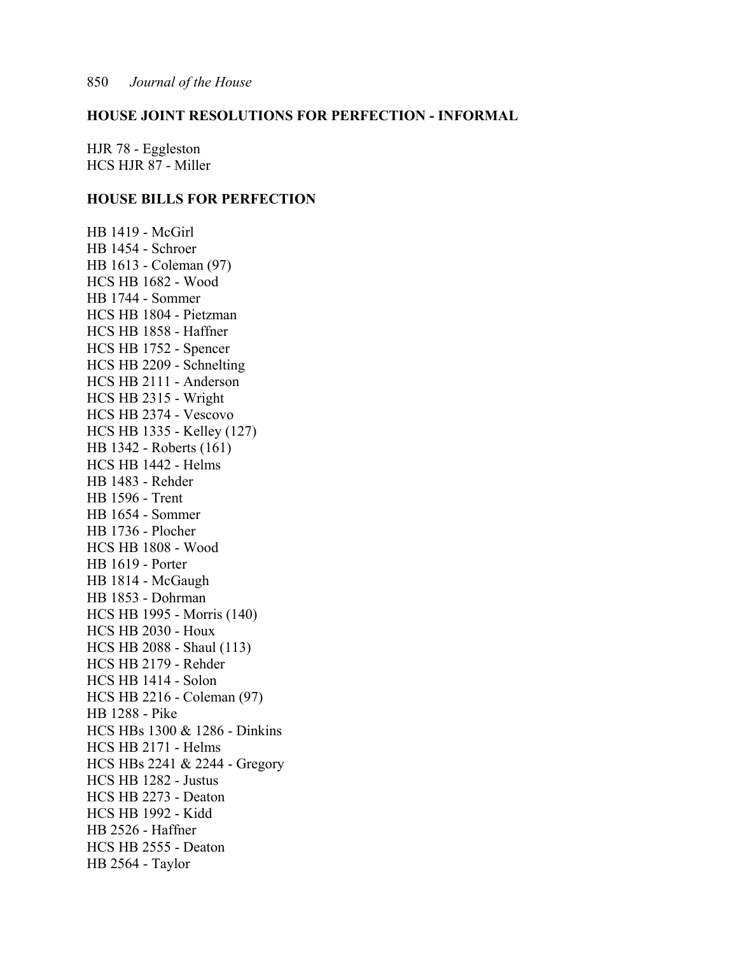## **HOUSE JOINT RESOLUTIONS FOR PERFECTION - INFORMAL**

HJR 78 - Eggleston HCS HJR 87 - Miller

## **HOUSE BILLS FOR PERFECTION**

HB 1419 - McGirl HB 1454 - Schroer HB 1613 - Coleman (97) HCS HB 1682 - Wood HB 1744 - Sommer HCS HB 1804 - Pietzman HCS HB 1858 - Haffner HCS HB 1752 - Spencer HCS HB 2209 - Schnelting HCS HB 2111 - Anderson HCS HB 2315 - Wright HCS HB 2374 - Vescovo HCS HB 1335 - Kelley (127) HB 1342 - Roberts (161) HCS HB 1442 - Helms HB 1483 - Rehder HB 1596 - Trent HB 1654 - Sommer HB 1736 - Plocher HCS HB 1808 - Wood HB 1619 - Porter HB 1814 - McGaugh HB 1853 - Dohrman HCS HB 1995 - Morris (140) HCS HB 2030 - Houx HCS HB 2088 - Shaul (113) HCS HB 2179 - Rehder HCS HB 1414 - Solon HCS HB 2216 - Coleman (97) HB 1288 - Pike HCS HBs 1300 & 1286 - Dinkins HCS HB 2171 - Helms HCS HBs 2241 & 2244 - Gregory HCS HB 1282 - Justus HCS HB 2273 - Deaton HCS HB 1992 - Kidd HB 2526 - Haffner HCS HB 2555 - Deaton HB 2564 - Taylor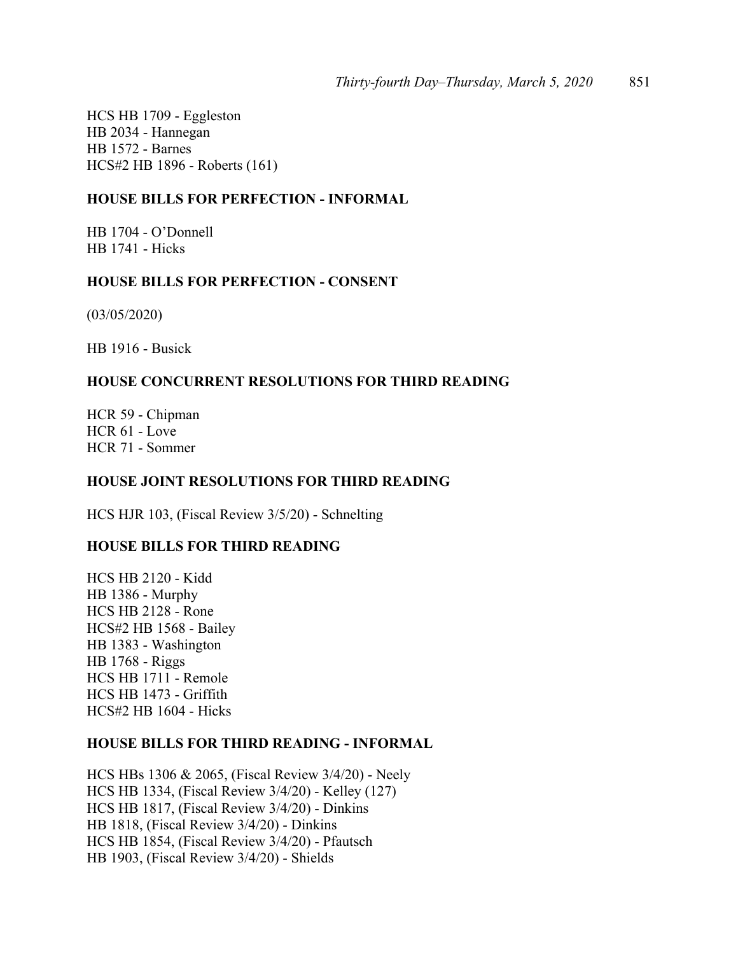HCS HB 1709 - Eggleston HB 2034 - Hannegan HB 1572 - Barnes HCS#2 HB 1896 - Roberts (161)

## **HOUSE BILLS FOR PERFECTION - INFORMAL**

HB 1704 - O'Donnell HB 1741 - Hicks

## **HOUSE BILLS FOR PERFECTION - CONSENT**

(03/05/2020)

HB 1916 - Busick

## **HOUSE CONCURRENT RESOLUTIONS FOR THIRD READING**

HCR 59 - Chipman HCR 61 - Love HCR 71 - Sommer

## **HOUSE JOINT RESOLUTIONS FOR THIRD READING**

HCS HJR 103, (Fiscal Review 3/5/20) - Schnelting

## **HOUSE BILLS FOR THIRD READING**

HCS HB 2120 - Kidd HB 1386 - Murphy HCS HB 2128 - Rone HCS#2 HB 1568 - Bailey HB 1383 - Washington HB 1768 - Riggs HCS HB 1711 - Remole HCS HB 1473 - Griffith HCS#2 HB 1604 - Hicks

## **HOUSE BILLS FOR THIRD READING - INFORMAL**

HCS HBs 1306 & 2065, (Fiscal Review 3/4/20) - Neely HCS HB 1334, (Fiscal Review 3/4/20) - Kelley (127) HCS HB 1817, (Fiscal Review 3/4/20) - Dinkins HB 1818, (Fiscal Review 3/4/20) - Dinkins HCS HB 1854, (Fiscal Review 3/4/20) - Pfautsch HB 1903, (Fiscal Review 3/4/20) - Shields